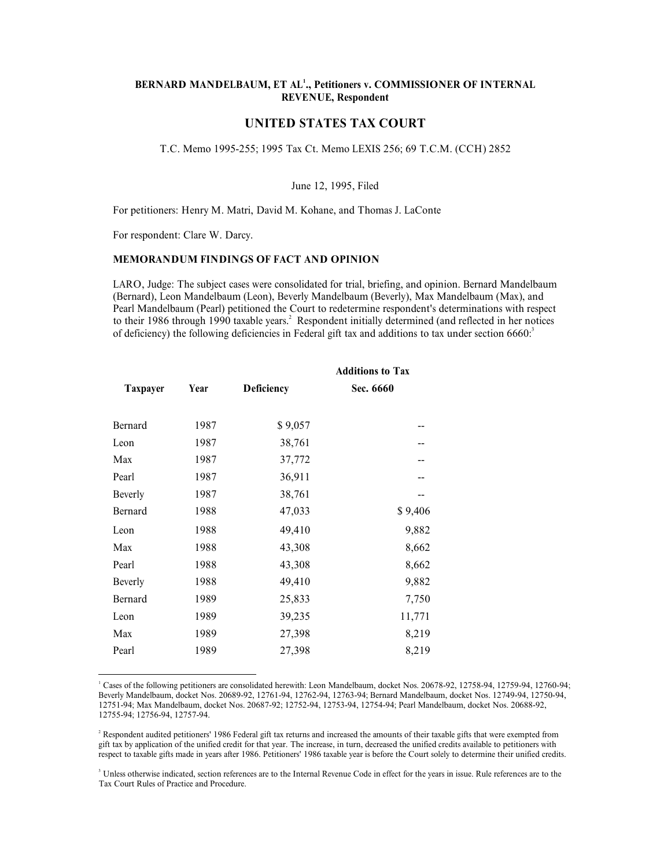# BERNARD MANDELBAUM, ET AL<sup>1</sup>., Petitioners v. COMMISSIONER OF INTERNAL REVENUE, Respondent THE MANDELBAUM, ET AL<sup>1</sup>., Petitioners v. COMMISSIONER OF INTERNAL<br>REVENUE, Respondent<br>T.C. Memo 1995-255; 1995 Tax Ct. Memo LEXIS 256; 69 T.C.M. (CCH) 2852<br>June 12, 1995, Filed<br>Rers: Henry M. Matri, David M. Kohane, and T AL<sup>1</sup>., Petitioners v. COMMISSIONER OF INTERNAL<br>EVENUE, Respondent<br>**D STATES TAX COURT**<br>"ax Ct. Memo LEXIS 256; 69 T.C.M. (CCH) 2852<br>June 12, 1995, Filed<br>1. Kohane, and Thomas J. LaConte<br>"TAND OPINION" FORNARD MANDELBAUM, ET AL<sup>1</sup>., Petitioners v. COMMISSIONER OF INTERNAL<br>FREVENUE, Respondent<br>UNITED STATES TAX COURT<br>T.C. Memo 1995-255; 1995 Tax Ct. Memo LEXIS 256; 69 T.C.M. (CCH) 2852<br>June 12, 1995, Filed<br>For petitioners

# UNITED STATES TAX COURT

**EERNARD MANDELBAUM, ET AL'., Petitioners v. COMMISSIONER OF INTERNAL<br>FREVENUE, Respondent<br>INTITED STATES TAX COURT<br>T.C. Memo 1995-255; 1995 Tax Ct. Memo LEXIS 256; 69 T.C.M. (CCH) 2852<br>June 12, 1995, Filed<br>For petitioners** REARARD MANDELBAUM, ET AL<sup>1</sup><sub>3</sub>, Petitioners v. COMMISSIONER OF INTERNAL<br>
REVENUE, Respondent<br>
UNITED STATES TAX COURT<br>
T.C. Memo 1995-255; 1995 Tax CL Memo LEXIS 256; 69 T.C.M. (CCH) 2852<br>
June 12, 1995, Fiied<br>
For petiti (BERNARD MANDELBAUM, ET AL<sup>1</sup>, Petitioners v. COMMISSIONER OF INTERNAL<br>
(BEVENUE, Respondent<br>
(UNITED STATES TAX COURT)<br>
T.C. Memo 1995-255; 1995 Tax Ct. Memo LEXIS 256; 69 T.C.M. (CCH) 2852<br>
(June 12, 1995, Filed<br>
For pet **EXENDERATUM, ET AL'., Petitioners v. COMMISSIONER OF INTERNAL<br>
EVENIE, Respondent<br>
T.C. Memo 1995-255; 1995 Tax Ct. Memo LEXIS 256; 69 T.C.M. (CCH) 2852<br>
June 12, 1995, Filed<br>
For petitiones: Henry M. Matri, David M. Koha** EXAMPO MANDELBAUM, ET AL'., Petitioners v. COMMISSIONER OF INTERNAL<br>
REVENUE, Respondent<br>
UNITED STATES TAX COURT<br>
T.C. Memo 1995-255; 1995 Tax Ct. Memo LEXIS 256; 69 T.C.M. (CCH) 2852<br>
June 12, 1995, Filed<br>
For petitioner **EXENDERATURE CONSTRAINT (SECTED ACTES AND MANDELBAUM, ET AL', Petitioners v. COMMISSIONER OF INTERNAL<br>
UNITED STATES TAX COURT<br>
T.C. Memo 1995-255; 1995 Tax Ct. Memo LEXIS 256; 69 T.C.M. (CCH) 2852<br>
June 12, 1995, Filed<br>** 

|                               |                                 |                                         | <b>UNITED STATES TAX COURT</b>                                                                                                                                                                                                                                                                                                                                                                                                                                                                                                                                                                                                                                                          |  |
|-------------------------------|---------------------------------|-----------------------------------------|-----------------------------------------------------------------------------------------------------------------------------------------------------------------------------------------------------------------------------------------------------------------------------------------------------------------------------------------------------------------------------------------------------------------------------------------------------------------------------------------------------------------------------------------------------------------------------------------------------------------------------------------------------------------------------------------|--|
|                               |                                 |                                         | T.C. Memo 1995-255; 1995 Tax Ct. Memo LEXIS 256; 69 T.C.M. (CCH) 2852                                                                                                                                                                                                                                                                                                                                                                                                                                                                                                                                                                                                                   |  |
|                               |                                 |                                         | June 12, 1995, Filed                                                                                                                                                                                                                                                                                                                                                                                                                                                                                                                                                                                                                                                                    |  |
|                               |                                 |                                         | For petitioners: Henry M. Matri, David M. Kohane, and Thomas J. LaConte                                                                                                                                                                                                                                                                                                                                                                                                                                                                                                                                                                                                                 |  |
|                               | For respondent: Clare W. Darcy. |                                         |                                                                                                                                                                                                                                                                                                                                                                                                                                                                                                                                                                                                                                                                                         |  |
|                               |                                 | MEMORANDUM FINDINGS OF FACT AND OPINION |                                                                                                                                                                                                                                                                                                                                                                                                                                                                                                                                                                                                                                                                                         |  |
|                               |                                 |                                         | LARO, Judge: The subject cases were consolidated for trial, briefing, and opinion. Bernard Mandelbaum<br>(Bernard), Leon Mandelbaum (Leon), Beverly Mandelbaum (Beverly), Max Mandelbaum (Max), and<br>Pearl Mandelbaum (Pearl) petitioned the Court to redetermine respondent's determinations with respect<br>to their 1986 through 1990 taxable years. <sup>2</sup> Respondent initially determined (and reflected in her notices<br>of deficiency) the following deficiencies in Federal gift tax and additions to tax under section 6660. <sup>3</sup>                                                                                                                             |  |
|                               |                                 |                                         | <b>Additions to Tax</b>                                                                                                                                                                                                                                                                                                                                                                                                                                                                                                                                                                                                                                                                 |  |
| <b>Taxpayer</b>               | Year                            | <b>Deficiency</b>                       | Sec. 6660                                                                                                                                                                                                                                                                                                                                                                                                                                                                                                                                                                                                                                                                               |  |
|                               |                                 |                                         |                                                                                                                                                                                                                                                                                                                                                                                                                                                                                                                                                                                                                                                                                         |  |
| Bernard<br>Leon               | 1987<br>1987                    | \$9,057<br>38,761                       |                                                                                                                                                                                                                                                                                                                                                                                                                                                                                                                                                                                                                                                                                         |  |
| Max                           | 1987                            | 37,772                                  |                                                                                                                                                                                                                                                                                                                                                                                                                                                                                                                                                                                                                                                                                         |  |
| Pearl                         | 1987                            | 36,911                                  |                                                                                                                                                                                                                                                                                                                                                                                                                                                                                                                                                                                                                                                                                         |  |
| Beverly                       | 1987                            | 38,761                                  | $-$                                                                                                                                                                                                                                                                                                                                                                                                                                                                                                                                                                                                                                                                                     |  |
| Bernard                       | 1988                            | 47,033                                  | \$9,406                                                                                                                                                                                                                                                                                                                                                                                                                                                                                                                                                                                                                                                                                 |  |
|                               | 1988                            |                                         |                                                                                                                                                                                                                                                                                                                                                                                                                                                                                                                                                                                                                                                                                         |  |
| Leon                          | 1988                            | 49,410                                  | 9,882                                                                                                                                                                                                                                                                                                                                                                                                                                                                                                                                                                                                                                                                                   |  |
| Max<br>Pearl                  |                                 | 43,308                                  | 8,662                                                                                                                                                                                                                                                                                                                                                                                                                                                                                                                                                                                                                                                                                   |  |
|                               | 1988<br>1988                    | 43,308                                  | 8,662                                                                                                                                                                                                                                                                                                                                                                                                                                                                                                                                                                                                                                                                                   |  |
| Beverly                       |                                 | 49,410                                  | 9,882                                                                                                                                                                                                                                                                                                                                                                                                                                                                                                                                                                                                                                                                                   |  |
| Bernard                       | 1989                            | 25,833                                  | 7,750                                                                                                                                                                                                                                                                                                                                                                                                                                                                                                                                                                                                                                                                                   |  |
| Leon                          | 1989                            | 39,235<br>27,398                        | 11,771                                                                                                                                                                                                                                                                                                                                                                                                                                                                                                                                                                                                                                                                                  |  |
| Max<br>Pearl                  | 1989<br>1989                    | 27,398                                  | 8,219                                                                                                                                                                                                                                                                                                                                                                                                                                                                                                                                                                                                                                                                                   |  |
|                               |                                 |                                         | 8,219                                                                                                                                                                                                                                                                                                                                                                                                                                                                                                                                                                                                                                                                                   |  |
| 12755-94; 12756-94, 12757-94. |                                 |                                         | Cases of the following petitioners are consolidated herewith: Leon Mandelbaum, docket Nos. 20678-92, 12758-94, 12759-94, 12760-94;<br>Beverly Mandelbaum, docket Nos. 20689-92, 12761-94, 12762-94, 12763-94; Bernard Mandelbaum, docket Nos. 12749-94, 12750-94,<br>12751-94; Max Mandelbaum, docket Nos. 20687-92; 12752-94, 12753-94, 12754-94; Pearl Mandelbaum, docket Nos. 20688-92,<br>Respondent audited petitioners' 1986 Federal gift tax returns and increased the amounts of their taxable gifts that were exempted from<br>gift tax by application of the unified credit for that year. The increase, in turn, decreased the unified credits available to petitioners with |  |
|                               |                                 |                                         | respect to taxable gifts made in years after 1986. Petitioners' 1986 taxable year is before the Court solely to determine their unified credits.<br>Unless otherwise indicated, section references are to the Internal Revenue Code in effect for the years in issue. Rule references are to the                                                                                                                                                                                                                                                                                                                                                                                        |  |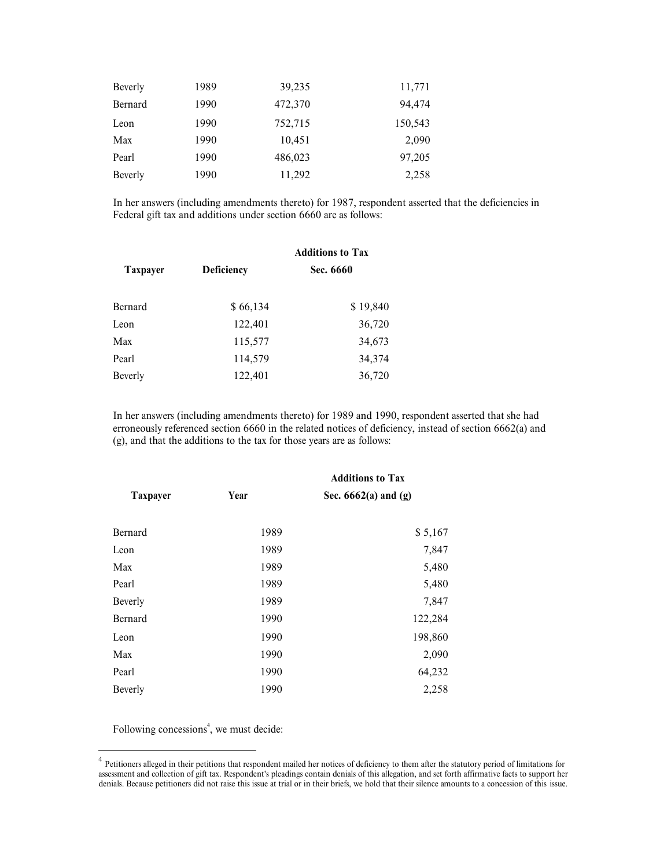| Beverly         | 1989                                                                                                 | 39,235  |                         | 11,771  |
|-----------------|------------------------------------------------------------------------------------------------------|---------|-------------------------|---------|
| Bernard         | 1990                                                                                                 | 472,370 |                         | 94,474  |
| Leon            | 1990                                                                                                 | 752,715 |                         | 150,543 |
| Max             | 1990                                                                                                 | 10,451  |                         | 2,090   |
| Pearl           | 1990                                                                                                 | 486,023 |                         | 97,205  |
| Beverly         | 1990                                                                                                 | 11,292  |                         | 2,258   |
|                 | In her answers (including amendments thereto) for 1987, respondent asserted that the deficiencies in |         |                         |         |
|                 | Federal gift tax and additions under section 6660 are as follows:                                    |         |                         |         |
|                 |                                                                                                      |         | <b>Additions to Tax</b> |         |
| <b>Taxpayer</b> | Deficiency                                                                                           |         | Sec. 6660               |         |
| Bernard         | \$66,134                                                                                             |         | \$19,840                |         |
| Leon            | 122,401                                                                                              |         | 36,720                  |         |
| Max             | 115 577                                                                                              |         | 34.673                  |         |

| Beverly         | 1989                                                                   | 39,235                   | 11,771                                                                                                                                                                                                        |
|-----------------|------------------------------------------------------------------------|--------------------------|---------------------------------------------------------------------------------------------------------------------------------------------------------------------------------------------------------------|
| Bernard         | 1990                                                                   | 472,370                  | 94,474                                                                                                                                                                                                        |
| Leon            | 1990                                                                   | 752,715                  | 150,543                                                                                                                                                                                                       |
| Max             | 1990                                                                   | 10,451                   | 2,090                                                                                                                                                                                                         |
| Pearl           | 1990                                                                   | 486,023                  | 97,205                                                                                                                                                                                                        |
| Beverly         | 1990                                                                   | 11,292                   | 2,258                                                                                                                                                                                                         |
|                 | Federal gift tax and additions under section 6660 are as follows:      |                          | In her answers (including amendments thereto) for 1987, respondent asserted that the deficiencies in                                                                                                          |
|                 |                                                                        | <b>Additions to Tax</b>  |                                                                                                                                                                                                               |
| <b>Taxpayer</b> | Deficiency                                                             | Sec. 6660                |                                                                                                                                                                                                               |
|                 |                                                                        |                          |                                                                                                                                                                                                               |
| Bernard         | \$66,134                                                               | \$19,840                 |                                                                                                                                                                                                               |
| Leon            | 122,401                                                                | 36,720                   |                                                                                                                                                                                                               |
| Max             | 115,577                                                                | 34,673                   |                                                                                                                                                                                                               |
| Pearl           | 114,579                                                                | 34,374                   |                                                                                                                                                                                                               |
| Beverly         | 122,401                                                                | 36,720                   |                                                                                                                                                                                                               |
|                 |                                                                        |                          |                                                                                                                                                                                                               |
|                 | (g), and that the additions to the tax for those years are as follows: |                          | In her answers (including amendments thereto) for 1989 and 1990, respondent asserted that she had<br>erroneously referenced section 6660 in the related notices of deficiency, instead of section 6662(a) and |
|                 |                                                                        | <b>Additions to Tax</b>  |                                                                                                                                                                                                               |
| <b>Taxpayer</b> | Year                                                                   | Sec. $6662(a)$ and $(g)$ |                                                                                                                                                                                                               |
| Bernard         | 1989                                                                   |                          | \$5,167                                                                                                                                                                                                       |
| Leon            | 1989                                                                   |                          | 7,847                                                                                                                                                                                                         |
| Max             | 1989                                                                   |                          | 5.480                                                                                                                                                                                                         |

|                 |                                                                        | <b>Additions to Tax</b>  |                                                                                                                                                                                                               |  |
|-----------------|------------------------------------------------------------------------|--------------------------|---------------------------------------------------------------------------------------------------------------------------------------------------------------------------------------------------------------|--|
| <b>Taxpayer</b> | Deficiency                                                             | Sec. 6660                |                                                                                                                                                                                                               |  |
| Bernard         | \$66,134                                                               | \$19,840                 |                                                                                                                                                                                                               |  |
| Leon            | 122,401                                                                | 36,720                   |                                                                                                                                                                                                               |  |
| Max             | 115,577                                                                | 34,673                   |                                                                                                                                                                                                               |  |
| Pearl           | 114,579                                                                | 34,374                   |                                                                                                                                                                                                               |  |
| Beverly         | 122,401                                                                | 36,720                   |                                                                                                                                                                                                               |  |
|                 | (g), and that the additions to the tax for those years are as follows: |                          | In her answers (including amendments thereto) for 1989 and 1990, respondent asserted that she had<br>erroneously referenced section 6660 in the related notices of deficiency, instead of section 6662(a) and |  |
|                 |                                                                        | <b>Additions to Tax</b>  |                                                                                                                                                                                                               |  |
| Taxpayer        | Year                                                                   | Sec. $6662(a)$ and $(g)$ |                                                                                                                                                                                                               |  |
| Bernard         | 1989                                                                   |                          | \$5,167                                                                                                                                                                                                       |  |
| Leon            | 1989                                                                   |                          | 7,847                                                                                                                                                                                                         |  |
| Max             | 1989                                                                   |                          | 5,480                                                                                                                                                                                                         |  |
| Pearl           | 1989                                                                   |                          | 5,480                                                                                                                                                                                                         |  |
| Beverly         | 1989                                                                   |                          | 7,847                                                                                                                                                                                                         |  |
| Bernard         | 1990                                                                   |                          | 122,284                                                                                                                                                                                                       |  |
| Leon            | 1990                                                                   |                          | 198,860                                                                                                                                                                                                       |  |
| Max             | 1990                                                                   |                          | 2,090                                                                                                                                                                                                         |  |
| Pearl           | 1990                                                                   |                          | 64,232                                                                                                                                                                                                        |  |
| Beverly         | 1990                                                                   |                          | 2,258                                                                                                                                                                                                         |  |
|                 |                                                                        |                          |                                                                                                                                                                                                               |  |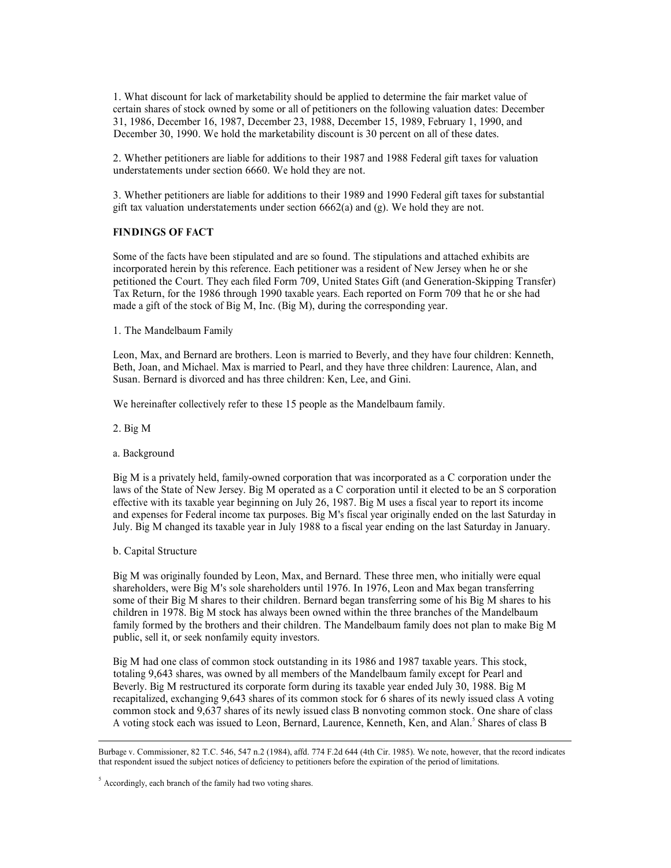1. What discount for lack of marketability should be applied to determine the fair market value of<br>certain shares of stock owned by some or all of petitioners on the following valuation dates: December<br>31, 1986, December 1 1. What discount for lack of marketability should be applied to determine the fair market value of certain shares of stock owned by some or all of petitioners on the following valuation dates: December 31, 1986, December 1 1. What discount for lack of marketability should be applied to determine the fair market value of certain shares of stock owned by some or all of petitioners on the following valuation dates: December 31, 1986, December 1 1. What discount for lack of marketability should be applied to determine the fair market value of certain shares of stock owned by some or all of petitioners on the following valuation dates: December 11, 1986, December 1 1. What discount for lack of marketability should be applied to determine the fair market value of certain shares of stock owned by some or all of petitioners on the following valuation dates: December 31, 1986, December 1 1. What discount for lack of marketability should be applied to determine the fair market value of certions hares of stock womed by some or all of petitioners on the following valuation dates: December 16, 1987, December 1 1. What discount for lack of marketability should be applied to determine the fair market value of<br>ecretin shares of sock owned by some or all of peititioners on the following valuation dates: December<br>31, 1986, December 1

1. What discount for lack of marketability should be applied to determine the fair market value of<br>certain shares of stock owned by some or all of petitioners on the following valuation dates: December<br>11, 1986, December 1 1. What discount for lack of marketability should be applied to determine the fair market value of the facts have a stipulate and to prittioners on the following valuation dates: December 19. [1985, December 19.] 1986, Dec 1. What discount for lack of marketability should be applied to determine the fair market value of certain shares of stock owned by some or all of petitioners on the following valuation dates: December 13, 1986, December 1 **1.** What discount for hack of marketability should be applied to determine the fair market value of correction and the Court. The Court of the Court of the Court of the Court of the Court of the Court of the Court of the 1. What discount for hek of marketability should be applied to determine the fair market value of<br>entrain shares of stock owned by some or all of pertitioners on the following valuation dates: December<br>21, 1986, December 5 1. What discount for lack of marketability should be applied to determine the fair market value of secretion shares of stock owned by some or all of pertitioners on the following valuation dates: December 1964, December 19 1. What discount for lack of marketability should be applied to determine the fair market value of<br>ecrtain shares of stock owned by some or all of petitioners on the following valuation dates: December<br>131, 1986, December 1. What discount for lack of marketability should be applied to determine the fair market value of<br>extrain shares of stock owned by some or all of petitioners on the following valuation dates: December<br>13, 1986, December 1 1. What decount lor hack of Bing Mischellahy should be applied to delerratine the lair market value of the Susan contents and the methanomic terminal and the methanomic SUSA. December 15, 1986, December 15, 1986, December

a. Background

3. Whether petitioners are liable for additions to their 1989 and 1990 Federal girt taxes for substantial gift its valuation understatements under section 6662(a) and (g). We hold they are not.<br> **EINDINGS OF FACT**<br>
Some of gill lax valuation understatements under section 6662(a) and (g). We hold they are not.<br> **EYIMMGS OF FACT**<br>
Some of the facts have been stipulated and are so found. The stipulations and attached exhibits are<br>
incorporated **FINDINGS OF FACT**<br>Some of the facts have been stipulated and are so found. The stipulations and attached exhibits are<br>incorporated herein by this reference. Each petitioner was a resident of New Jersey when he or she<br>dep **FINDINGS OF FACT**<br>Some of the fasts have been stipulated and are so found. The stipulations and attached exhibits are<br>incorporated hereint by this reference. Each petitioner was a resident of New Jersey when he or she<br>per Some of the facts have been stipulated and are so found. The stipulations and attached exhibits are<br>incorporated herein by this reference. Each petitioner was a resident of New Jersey when he or she<br>between the results tha

Tax Return, for the 1986 through 1990 traxable years. Each reported on Form 709 that he or she had Tax Return, for the 1986 through 1990 that he originally Leon, Max, and Bernard are brothers. Leon is married to Beverly, a made a gift of the stock of Big M, Inc. (Big M), during the corresponding year.<br>
1. The Mandelbaum Family to brothers. Leon is married to Beverly, and they have four children: Kenneth, Eech, Max, and Bernard at obverless. 1. The Mandelbaum Family<br>
Leon, Max, and Bernard are brothers. Leon is married to Beverly, and they have four children: Eenneth,<br>
Bern, Joan, and Michael. Max is married to Pearl, and they have three children: Laurence, Al 1. The Mandelbaum Family<br>Leon, Max, and Bernard are brothers. Leon is married to Beverly, and they have four children: Eaurence, Alan, and<br>Beth, Ioan, and Michael. Max is married to Pearl, and they have three children: Lau Leon, Max, and Bernard are brothers. Leon is married to Beverly, and they have four children: Kenneth, Beth, Joon, and Michael. Max is married to Pearl, and they have three children: Laurence, Alan, and<br>Susan. Bernard is public, sell it, or seek nonfamily equity investors. Susan. Bernard is divorced and has three children: Ken, Lee, and Gimi.<br>We hereinafter collectively refer to these 15 people as the Mandelbaum family.<br>
2. Hig M<br>
is a privarely held, family-owned corporation that was incorp We here<br>analter collectively refer to these 15 people as the Mandelbaum family.<br>
2. Hig M<br>
iBig M is a privately held, family-owned corporation that was incorporated as a C corporation under the<br>
Big M is a privately held, 2. Big M<br>
an Mackground<br>
is High is a privately held, family-owned corporation that was incorporated as a C corporation under the<br>
Hay of its State of New Jersey. Big M operated as a C corporation until it elected to be a a. Background<br>
Hig M is a privately held, family-owned corporation that was incorporated as a C corporation under the<br>
laws of the Sate of New Jersey. Hig M operatod as a C corporation until it elected to be an 8 corporati

recapitalized, exchanging 9,643 shares of its common stock for 6 shares of its newly issued class A voting Big M is a privately held, family-owned corporation that was incorporated as a C corporation under the most of the State of New Jersey. Big M operated as a C corporation until the leader loo be an S corporation effective Big M is a privately nietal, than<br>the subject notice of the subsection that was incorporated as a C corporation until it elected to be an S corporation<br>and expenses for redeating on big 26, 1987. Big M uses a fixed year o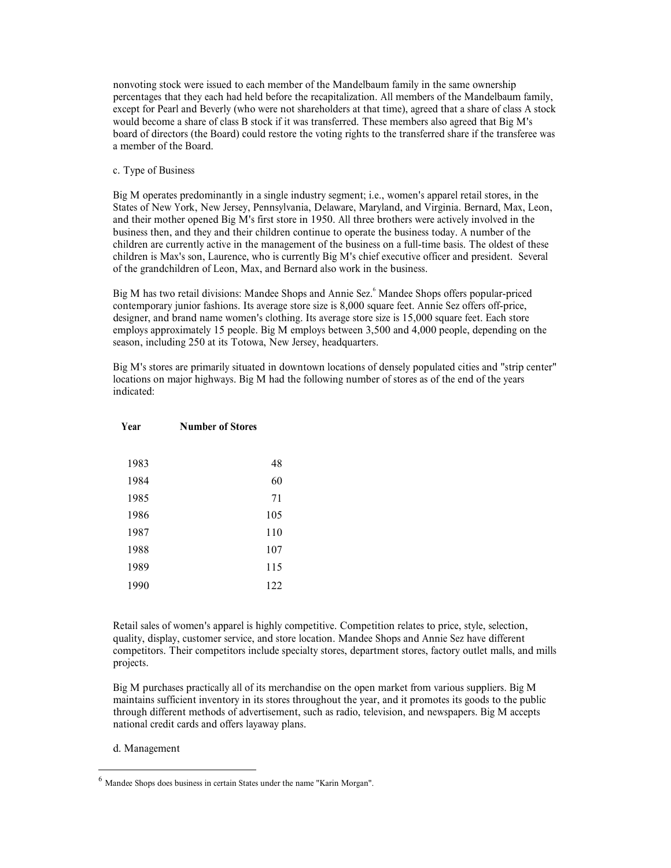nonvoting stock were issued to each member of the Mandelbaum family in the same ownership<br>percentages that they each had held before the recapitalization. All members of the Mandelbaum family,<br>except for Pearl and Beverly nonvoting stock were issued to each member of the Mandelbaum family in the same ownership<br>percentages that they each had held before the recapitalization. All members of the Mandelbaum family,<br>except for Pearl and Beverly monvoting stock were issued to each member of the Mandelbaum family in the same ownership<br>percentages that they each had held before the recapitalization. All members of the Mandelbaum family,<br>except for Pearl and Beverly board of directors (the Board) could restore the voting rights to the transferred share if the transferee was a member of the Board. monvoting stock were issued to each member of the Mandelbaum family in the same overcentages that they each had held before the recapitalization. All members of the Marexcept for Pearl and Beverly (who were not shareholder

moveting stock were issued to each member of the Mandelbaum family in the same ownership<br>percentages that they each had held before the recapitalization. All members of the Mandelbaum family,<br>except for Pearl and Beverly ( nonvoting stock were issued to each member of the Mandelbaum family in the same ewnership<br>percentages that they each had held before the recapitalization. All members of the Mandelbaum family,<br>except for Pearl and Heverly morvoting stock were issued to each member of the Mandelbaum family in the same ownership<br>percentages that they each had hedd before the recapitalization. All members of the Mandelbaum family,<br>except for Pearl and Reverly monvoting stock were issued to each member of the Mandelbaum family in the same ownership<br>percentages that they each had held before the recapitalization. All members of the Mandelbaum family,<br>except for Pearl and Beverly nonvoting stock were issued to each member of the Mandelbaum family in the same ownership<br>percentiges that they cach had held before the receptialization. All member of the Mandelbaum family,<br>except for Pearl and Reverly ( nonvoting stock were issued to each member of the Mandelbaum family in the same ownership<br>except for Pearl and Beverly (who were not shareholders at that time), agreed that as than several because<br>would become a share of c nonvoting stock were issued to each member of the Mandelbaum finnily in the same ewareship<br>percentages that they each had before the receptibilization. All must<br>here of the Mandelbaum family, except for Pearl and Berely (v monvoting stock were issued to each member of the Mandelbaum family in the same ownership<br>precentuage that they useh had held before the recupiulization. All members of the Mandelbaum family,<br>except for Pearl and Beverly ( monvoting stock were issued to each member of the Mandelbaum family in the same ownership<br>precoratings that they each had held before the recopiralization. All members of the Mandelbaum family,<br>except for Pearl and Reverly nonvoting stock were issued to each member of the Mandelbaum family in the same ownership<br>percentages that they each had beld before the recapitalization. All members of the Mandelbaum family,<br>except for Pearl and Beverly procentures that they each had held belche the receptibalization. All members of the Mandelbaum lamity, appeared that a share of class A stock would become a share of class B stock if it was transferred. These members also M operates predominantly in a single industry segment; i.e., women's apparel retail stores, in the<br>stos of New York, New Jersey, Pennsylvania, Delaware, Maryland, and Virginia. Bernard, Max, Leon,<br>their mother opened Big No persuas presonumentary in as single moteon of Norman Area. Norman segment in test, where the any of New York, New Jersey, Pennsylvania, Delaware, Maryland, and Virginia. Bernard, Max, Leon,<br>tes of New York, New Jersey, their mother opened Big M's first store in 1950. All three brothers were eithey involved in the<br>tines then, and they and their children continue to operate the business today. A number of the<br>deren are currently active in

|               | business then, and they and their children continue to operate the business today. A number of the<br>children are currently active in the management of the business on a full-time basis. The oldest of these<br>children is Max's son, Laurence, who is currently Big M's chief executive officer and president. Several<br>of the grandchildren of Leon, Max, and Bernard also work in the business.                                                                                                                                                                                                                                                                                                  |  |
|---------------|-----------------------------------------------------------------------------------------------------------------------------------------------------------------------------------------------------------------------------------------------------------------------------------------------------------------------------------------------------------------------------------------------------------------------------------------------------------------------------------------------------------------------------------------------------------------------------------------------------------------------------------------------------------------------------------------------------------|--|
|               | Big M has two retail divisions: Mandee Shops and Annie Sez. Mandee Shops offers popular-priced<br>contemporary junior fashions. Its average store size is 8,000 square feet. Annie Sez offers off-price,<br>designer, and brand name women's clothing. Its average store size is 15,000 square feet. Each store<br>employs approximately 15 people. Big M employs between 3,500 and 4,000 people, depending on the<br>season, including 250 at its Totowa, New Jersey, headquarters.                                                                                                                                                                                                                      |  |
| indicated:    | "Big M's stores are primarily situated in downtown locations of densely populated cities and "strip center<br>locations on major highways. Big M had the following number of stores as of the end of the years                                                                                                                                                                                                                                                                                                                                                                                                                                                                                            |  |
| Year          | <b>Number of Stores</b>                                                                                                                                                                                                                                                                                                                                                                                                                                                                                                                                                                                                                                                                                   |  |
| 1983          | 48                                                                                                                                                                                                                                                                                                                                                                                                                                                                                                                                                                                                                                                                                                        |  |
| 1984          | 60                                                                                                                                                                                                                                                                                                                                                                                                                                                                                                                                                                                                                                                                                                        |  |
| 1985          | 71                                                                                                                                                                                                                                                                                                                                                                                                                                                                                                                                                                                                                                                                                                        |  |
| 1986          | 105                                                                                                                                                                                                                                                                                                                                                                                                                                                                                                                                                                                                                                                                                                       |  |
| 1987          | 110                                                                                                                                                                                                                                                                                                                                                                                                                                                                                                                                                                                                                                                                                                       |  |
| 1988          | 107                                                                                                                                                                                                                                                                                                                                                                                                                                                                                                                                                                                                                                                                                                       |  |
| 1989          | 115                                                                                                                                                                                                                                                                                                                                                                                                                                                                                                                                                                                                                                                                                                       |  |
| 1990          | 122                                                                                                                                                                                                                                                                                                                                                                                                                                                                                                                                                                                                                                                                                                       |  |
| projects.     | Retail sales of women's apparel is highly competitive. Competition relates to price, style, selection,<br>quality, display, customer service, and store location. Mandee Shops and Annie Sez have different<br>competitors. Their competitors include specialty stores, department stores, factory outlet malls, and mills<br>Big M purchases practically all of its merchandise on the open market from various suppliers. Big M<br>maintains sufficient inventory in its stores throughout the year, and it promotes its goods to the public<br>through different methods of advertisement, such as radio, television, and newspapers. Big M accepts<br>national credit cards and offers layaway plans. |  |
| d. Management |                                                                                                                                                                                                                                                                                                                                                                                                                                                                                                                                                                                                                                                                                                           |  |
|               | andee Shops does business in certain States under the name "Karin Morgan".                                                                                                                                                                                                                                                                                                                                                                                                                                                                                                                                                                                                                                |  |
|               |                                                                                                                                                                                                                                                                                                                                                                                                                                                                                                                                                                                                                                                                                                           |  |
|               |                                                                                                                                                                                                                                                                                                                                                                                                                                                                                                                                                                                                                                                                                                           |  |

projects. 1986<br>
1986<br>
1986<br>
1987<br>
110<br>
1988<br>
107<br>
115<br>
1990<br>
115<br>
1990<br>
115<br>
1990<br>
122<br>
Retail sales of women's apparel is highly competitive. Competition relates to price, style, selection,<br>
quality, display, eustomer service, and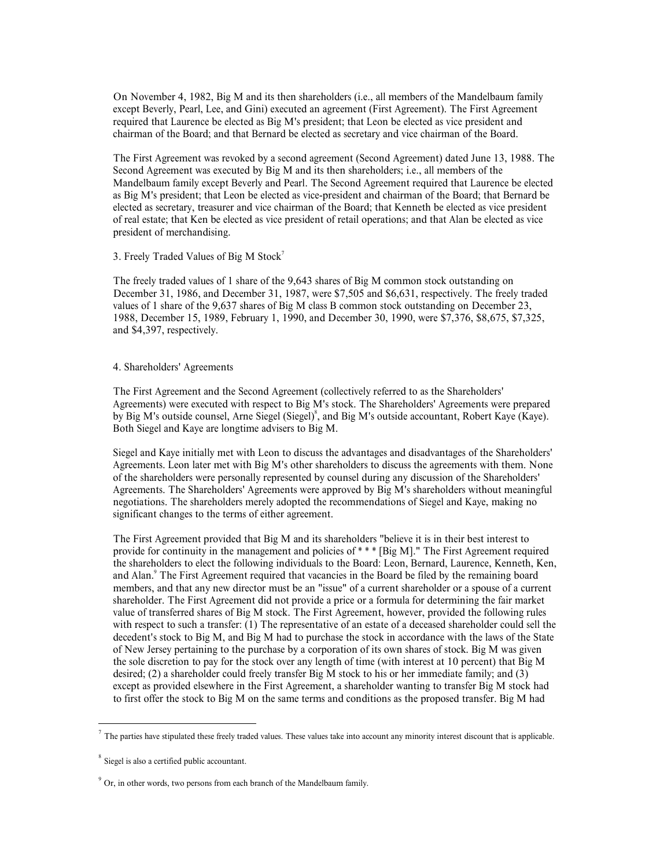On November 4, 1982, Big M and its then shareholders (i.e., all members of the Mandelbaum family<br>except Beverly, Pearl, Lee, and Gini) executed an agreement (First Agreement). The First Agreement<br>required that Laurence be On November 4, 1982, Big M and its then shareholders (i.e., all members of the Mandelbaum family<br>except Beverly, Pearl, Lee, and Gini) executed an agreement (First Agreement). The First Agreement<br>required that Laurence be On November 4, 1982, Big M and its then shareholders (i.e., all members of the Mandelbaum family<br>except Beverly, Pearl, Lee, and Gini) executed an agreement (First Agreement). The First Agreement<br>required that Laurence be

On November 4, 1982, Big M and its then shareholders (i.e., all members of the Mandelbaum family<br>except Beverly, Pearl, Lee, and Gini) executed an agreement (First Agreement). The First Agreement<br>required that Laurence be On November 4, 1982, Big M and its then shareholders (i.e., all members of the Mandelbaum family except Beverly, Pearl, Lee, and Gini) executed an agreement (First Agreement). The First Agreement required that Laurence be On November 4, 1982, Big M and its then shareholders (i.e., all members of the Mandelbaum family<br>except Beverly, Pearl, Lee, and Gini) executed an agreement (First Agreement). The First Agreement<br>required that Laurence be On November 4, 1982, Big M and its then shareholders (i.e., all members of the Mandelbaum family except Beverly, Pearl, Lee, and Gimi) executed an agreement (First Agreement). The First Agreement chat Laurence be lected as On November 4, 1982, Big M and its then shareholders (i.e., all members of the Mandelbaum family<br>except Beverly, Pearl, Lee, and Gimi) executed an agreement (Frist Agreement). The First Agreement<br>required that Laurence be On November 4, 1982, Big M and its then shareholders (i.e., all members of the Mandelbaum family<br>except Beverly, Pearl, I.ee, and Gim) exceuted an agreement (First Agreement). The First Agreement<br>required that Laurence be On November 4, 1982, Big M and its then shareholders (i.e., all members of the Mandelbaum family<br>except Beverly, Pearl, Lee, and Gim) exceuted an agreement (First Agreement). The First Agreement<br>required that Laurence be president of merchandising. On November 4, 1982, Big M and its then shareholders (i.e., all members of the Mandelbaum family<br>except Beverly, Pearl, Lee, and Gim) excested an agreement (first Agreement). The First Agreement<br>required that Laurence be On November 4, 1982, Big M and its then shareholders (i.e., all members of the Mandelbaum family<br>except Beverly, Pearl, Lee, and Gim) exceuted an agreement (First Agreement). The First Agreement<br>required that Laurence be e On November 4, 1982, Big M and its then shareholders (i.e., all members of the Mandelbaum family<br>except Bervary, Pearl, tec, and Gim) executed an agreement (First Agreement). The First Agreement<br>prequired that Laurence be On November 4, 1982, Big M and its then shareholders (i.e., all members of the Mandel<br>except Beverly, Pearl, Lee, and Gini) exceuted an agreement (First Agreement). The First<br>required that Laurence be elected as Big M's p execond Premix, Lee, and Gimi) essested an agreement (First Agreement). The First Agreement and the Board, and that Bernard be elected as secretary and vice chairman of the Board, batternal achievation and the Board, agree

3. Freely Traded Values of Big M Stock 7

The freely traded values of 1 share of the 9,643 shares of Big M common stock outstanding on

by Big M's outside counsel, Arne Siegel (Siegel)<sup>8</sup>, and Big M's outside accountant, Robert Kaye (Kaye). Both Siegel and Kaye are longtime advisers to Big M.

Second Agreements was executed op Hig M and tis then shareholders; i.e., all members of the Big M's prescidents and chairman of the Board; Alta Leon technologies the sected as vice president and chairman of the Board; that as Big M's preselent; that Leon be elected as vice-president and chairman of the Board; that Eernard be clected as vice president of receil easing that Kennelly represented by consel of the Shareholders' Agreements. The el of real estate; that Kee beeted as vice president of retail operations; and that Alan be elected as vice<br>president of merchandsing.<br>3. Freely Traded Values of H share of the 9,643 shares of Big M common stock outstanding o significant changes to the terms of either agreement.

3. Freely Traded Values of Big M Stock<br>
The freely traded values of I shares of Big M some of Big M common stock outstanding on<br>
The freely traded values of I share of the 9,643 shares of Big M class B common stock outsta The freely traded values of 1 share of the 9.643 shares of Big M common stock outstanding on<br>December 31, 1986, and December 31, 1987, were \$7.505 and \$6.631, respectively. The freely traded<br>values of 1 share of the 9.637 The ricely traded values of 1 share of the 9,643 shares of Bg M common stock outstanding on<br>Theorember 31, 1986, sund December 31, 1987, were \$7,505 and \$6,631, respectively. The freely traded<br>values of 1 share of the 9.63 December 31, 1986, and December 31, 1987, were \$7,505 and \$6,631, respectively. The freely trade-<br>United of that vacancies of the 9,637 shares of hig M class B common stock outstanding on December 23,<br>1988, December 15, 19 values of 1 shareholders (Agreement shareholder) and class B common slock outstanding on December 23, the SAS S. December 15, 1989, February 1, 1990, and December 30, 1990, were S7.376, \$8,675, \$7.325, and \$4,397, respecti 1988. December 15, 1989, February 1, 1990, and December 30, 1990, were 87.376, S8,675, S7.325,<br>
and S4,397, respectively.<br>
4. Shareholders' Agreementis<br>
4. Shareholders' The First Agreement and the Second Agreement (collec 4.397, respectively.<br>
4. Shareholders' Agreements<br>
The First Agreements and the Second Agreement (collectively referred to as the Shareholders'<br>
Agreements) were executed with respect to Big M's stock. The Shareholders' Ag 4. Shareholders' Agreements<br>The First Agreements and the Second Agreement (collectively referred to as the Shareholders'<br>Agreements) were executed with respect to Big M's stock. The Shareholders' Agreements were prepared<br> 4. Shareholders' Agreements<br>The First Agreements on the Scoond Agreement (collectively referred to as the Shareholders' Agreements) were executed with respect to Big M's stock. The Shareholders' Agreements were propared<br>b of New Jersey pertaining to the purchase by a corporation of its own shares of stock. Big M was given The First Agreement and the Second Agreement (collectively referred to as the Shareholders' Agreements) were executed with respect to Big M's stock. The Shareholders' Agreements were prepared evidents are propared by Big M desired; (2) a shareholder could freely transfer Big M stock to his or her immediate family; and (3) Agreements) were executed with tespect to big M stock. The Shareholder's Agreements were prepared by Big M's outside accountant, Robert Kaye (Kaye). Both Siegel and Kaye are longtime advisers to Big M.<br>
Hoth Siegel and Kay By Big M's outside cocurast, Ame Siegel), Gradi Eggil), and Eggi M's outside accountant, Robert Kaye (Kaye).<br>Siegel and Kaye are longitime advisers to Big M.<br>
Siegel and Kaye are longitime with Leon to discuss the advanta Stepl and Aaye initially met with Leon to distins the atomings and disastranhage of the Shareholders<br>Agreements. Learn later met with Fig. M's other shareholders to discuss the agreements with them. None<br>of the shareholde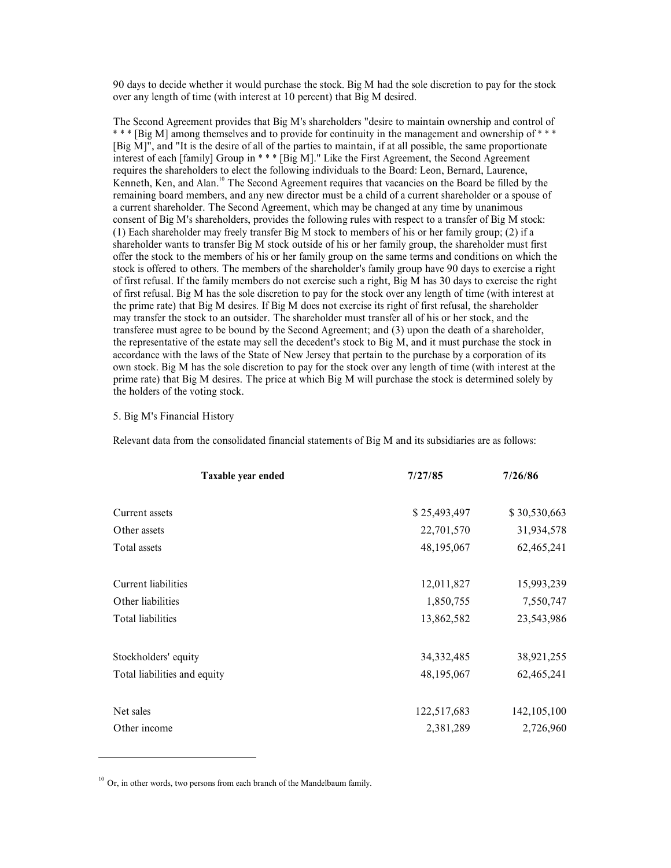90 days to decide whether it would purchase the stock. Big M had the sole discretion to pay for the stock<br>over any length of time (with interest at 10 percent) that Big M desired.<br>The Second Agreement provides that Big M's 90 days to decide whether it would purchase the stock. Big M had the sole discretion to pay for the stock<br>over any length of time (with interest at 10 percent) that Big M desired.<br>The Second Agreement provides that Big M' 90 days to decide whether it would purchase the stock. Big M had the sole discretion to pay for the stock<br>over any length of time (with interest at 10 percent) that Big M's desired.<br>The Second Agreement provides that Big M 90 days to decide whether it would purchase the stock. Big M had the sole discretion to pay for the stock<br>over any length of time (with interest at 10 percent) that Big M desired.<br>The Second Agreement provides that Big M' 90 days to decide whether it would purchase the stock. Big M had the sole discretion to pay for the stock<br>over any length of time (with interest at 10 percent) that Big M desired.<br>The Second Agreement provides that Big M' 90 days to decide whether it would purchase the stock. Big M had the sole discretion to pay for the stock<br>
tower any length of time (with interest at 10 precent) that Big M esimedders "desire to maintain ownership and cont 90 days to decide whether it would purchase the stock. Big M had the sole discretion to pay for the stock over any length of time (with interest at 10 precent) that Big M desired.<br>The Second Agreement provides that Big M' 90 days to decide whether it would purchase the stock. Big M had the sole discretion to pay for the stock over any length of time (with interest at 10 perent) that Big M desired.<br>The Second Agreement provides that Big M's 90 days to decide whether it would purchase the stock. Big M had the sole discretion to pay for the stock over any length of time (with interest at 10 percent) that Big M deired.<br>The Second Agreement provides that Big M's (1) Each shareholder may freely transfer Big M stock to members of his or her family group; (2) if a 90 days to decide whether it would purchase the stock. Big M had the sole discretion to pay for the stock<br>
over any length of time (with interest at 10 percent) that Big M desired.<br>
The Second Agreement provides that Big 90 days to decide whether it would purchase the stock. Big M had the sole discretion to pay for the stock over any length of time (with interest at 10 percent) that Big M desired.<br>The Second Agreement provides that Big M' 90 days to decide whether it would purchase the stock. Big M had the sole discretion to pay for the stock over any length of time (with interest at 10 percent) that Big M desired.<br>The Second Agreement provides that Big M' 90 days to decide whether it would purchase the stock. Big M had the sole discretion to pay for the stock<br>voer any length of time (with interest at 10 percent) that Big M desired.<br>The Second Agreement provides that Big M' 90 days to decide whether it would purchase the stock. Big M had the sole discretion to pay for the stock over any length of time (with interest at 10 percent) that Big M desired. The Second Agreement provides that Big M' 90 days to decide whether it would purchase the stock. Big M had the sole discretion to pay for the stock<br>over any length of time (with interest at 10 percent) that Big M desired.<br>The Second Agreement provides that Big M 90 days to decide whether it would purchase the stock. Big M had the sole discretion to pay for the stock over any length of time (with interest at 10 percent) that Big M desired. The Second Agreement provides that Big M' 90 days to decide whether it would purchase the stock. Big M dastied.<br>
Over an Jength of time (with interest at 10 percent) that Big M dsired.<br>
The Second Agreement provides that Big M's shareholders "devire to maintain ow 90 days to decide whether it would purchase the stock. Big M desired.<br>
over any length of time (with interest at 10 percent) that Big M desired.<br>
The Second Agreement provides that Big M's sharcholdes "electro maintain ow 90 days to decide whether it would purchase the stock. Big M had the sole discretion to pay for the stock<br>over any length of time (with interest at 10 percent) that Big M desired.<br>The Second Agreement provides that Big M' over any length of time (with interest at 10 percent) that By M desired.<br>The Second Agreement provides that Big M's sharcholders "desire to maintain ownership and control of<br><sup>1</sup> \* <sup>#</sup> [Big M] among themselves and to provid the holders of the voting stock. Interest of each financial Group in <sup>8</sup> \* F light [*N*].<sup>2</sup> Cluck the First Agenemat, the Second Agenematic statement, the and Alar financial Statement, the consolidated financial statements from the Alar financial stateme mbest, and any new director must be a child of a current shareholder or a spouse of<br>nest, and any new director must be changed at any time by unanimous<br>surface, provides the following rules with respect to a transfer of B (1) Each shareholder muy freely transfer Big M stock to members of this or the fumily group, (2) if a<br>characted consider the secosition state and the stock counterparts of the shareholder must first of the stock to the me 2012 and the Unit of the Scot Sousset of the Scot Sousset of the Scot Sousset of the Scot Sousset of the Scot Sousset of the Scot Sousset of the Scot Sousset of the Scot Sousset of the Scot Sousset of the Scot Sousset of

## 5. Big M's Financial History

| stock is offered to others. The members of the shareholder's family group have 90 days to exercise a right<br>of first refusal. If the family members do not exercise such a right, Big M has 30 days to exercise the right<br>of first refusal. Big M has the sole discretion to pay for the stock over any length of time (with interest at<br>the prime rate) that Big M desires. If Big M does not exercise its right of first refusal, the shareholder<br>may transfer the stock to an outsider. The shareholder must transfer all of his or her stock, and the<br>transferee must agree to be bound by the Second Agreement; and (3) upon the death of a shareholder,<br>the representative of the estate may sell the decedent's stock to Big M, and it must purchase the stock in<br>accordance with the laws of the State of New Jersey that pertain to the purchase by a corporation of its<br>own stock. Big M has the sole discretion to pay for the stock over any length of time (with interest at the<br>prime rate) that Big M desires. The price at which Big M will purchase the stock is determined solely by<br>the holders of the voting stock. |              |              |  |
|----------------------------------------------------------------------------------------------------------------------------------------------------------------------------------------------------------------------------------------------------------------------------------------------------------------------------------------------------------------------------------------------------------------------------------------------------------------------------------------------------------------------------------------------------------------------------------------------------------------------------------------------------------------------------------------------------------------------------------------------------------------------------------------------------------------------------------------------------------------------------------------------------------------------------------------------------------------------------------------------------------------------------------------------------------------------------------------------------------------------------------------------------------------------|--------------|--------------|--|
| 5. Big M's Financial History                                                                                                                                                                                                                                                                                                                                                                                                                                                                                                                                                                                                                                                                                                                                                                                                                                                                                                                                                                                                                                                                                                                                         |              |              |  |
| Relevant data from the consolidated financial statements of Big M and its subsidiaries are as follows:                                                                                                                                                                                                                                                                                                                                                                                                                                                                                                                                                                                                                                                                                                                                                                                                                                                                                                                                                                                                                                                               |              |              |  |
| Taxable year ended                                                                                                                                                                                                                                                                                                                                                                                                                                                                                                                                                                                                                                                                                                                                                                                                                                                                                                                                                                                                                                                                                                                                                   | 7/27/85      | 7/26/86      |  |
| Current assets                                                                                                                                                                                                                                                                                                                                                                                                                                                                                                                                                                                                                                                                                                                                                                                                                                                                                                                                                                                                                                                                                                                                                       | \$25,493,497 | \$30,530,663 |  |
| Other assets                                                                                                                                                                                                                                                                                                                                                                                                                                                                                                                                                                                                                                                                                                                                                                                                                                                                                                                                                                                                                                                                                                                                                         | 22,701,570   | 31,934,578   |  |
| Total assets                                                                                                                                                                                                                                                                                                                                                                                                                                                                                                                                                                                                                                                                                                                                                                                                                                                                                                                                                                                                                                                                                                                                                         | 48,195,067   | 62,465,241   |  |
| Current liabilities                                                                                                                                                                                                                                                                                                                                                                                                                                                                                                                                                                                                                                                                                                                                                                                                                                                                                                                                                                                                                                                                                                                                                  | 12,011,827   | 15,993,239   |  |
| Other liabilities                                                                                                                                                                                                                                                                                                                                                                                                                                                                                                                                                                                                                                                                                                                                                                                                                                                                                                                                                                                                                                                                                                                                                    | 1,850,755    | 7,550,747    |  |
| Total liabilities                                                                                                                                                                                                                                                                                                                                                                                                                                                                                                                                                                                                                                                                                                                                                                                                                                                                                                                                                                                                                                                                                                                                                    | 13,862,582   | 23,543,986   |  |
| Stockholders' equity                                                                                                                                                                                                                                                                                                                                                                                                                                                                                                                                                                                                                                                                                                                                                                                                                                                                                                                                                                                                                                                                                                                                                 | 34, 332, 485 | 38,921,255   |  |
| Total liabilities and equity                                                                                                                                                                                                                                                                                                                                                                                                                                                                                                                                                                                                                                                                                                                                                                                                                                                                                                                                                                                                                                                                                                                                         | 48,195,067   | 62,465,241   |  |
| Net sales                                                                                                                                                                                                                                                                                                                                                                                                                                                                                                                                                                                                                                                                                                                                                                                                                                                                                                                                                                                                                                                                                                                                                            | 122,517,683  | 142,105,100  |  |
| Other income                                                                                                                                                                                                                                                                                                                                                                                                                                                                                                                                                                                                                                                                                                                                                                                                                                                                                                                                                                                                                                                                                                                                                         | 2,381,289    | 2,726,960    |  |
| $^{10}$ Or, in other words, two persons from each branch of the Mandelbaum family.                                                                                                                                                                                                                                                                                                                                                                                                                                                                                                                                                                                                                                                                                                                                                                                                                                                                                                                                                                                                                                                                                   |              |              |  |
|                                                                                                                                                                                                                                                                                                                                                                                                                                                                                                                                                                                                                                                                                                                                                                                                                                                                                                                                                                                                                                                                                                                                                                      |              |              |  |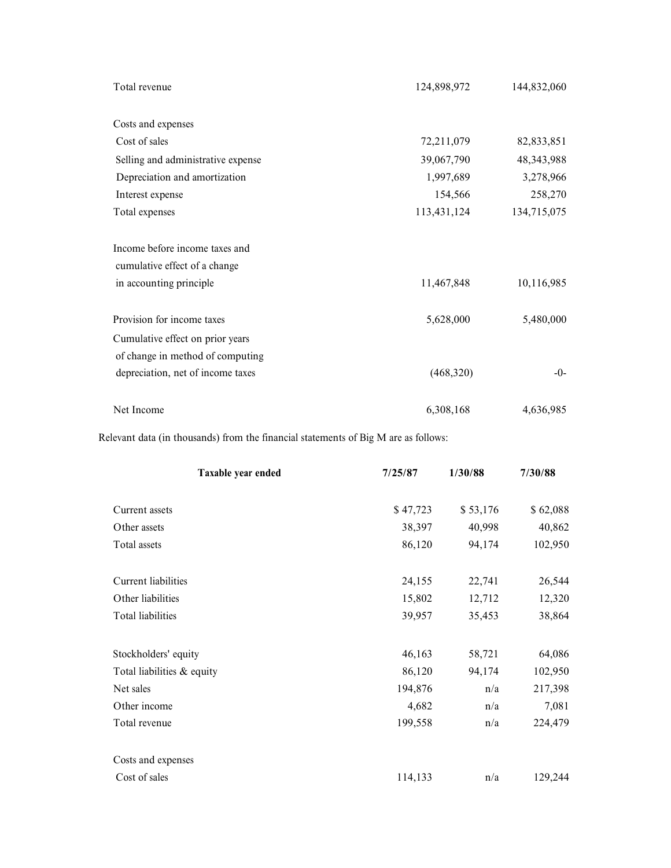| Total revenue                                                                       |          | 124,898,972 | 144,832,060  |
|-------------------------------------------------------------------------------------|----------|-------------|--------------|
|                                                                                     |          |             |              |
| Costs and expenses                                                                  |          |             |              |
| Cost of sales                                                                       |          | 72,211,079  | 82,833,851   |
| Selling and administrative expense                                                  |          | 39,067,790  | 48, 343, 988 |
| Depreciation and amortization                                                       |          | 1,997,689   | 3,278,966    |
| Interest expense                                                                    |          | 154,566     | 258,270      |
| Total expenses                                                                      |          | 113,431,124 | 134,715,075  |
|                                                                                     |          |             |              |
| Income before income taxes and                                                      |          |             |              |
| cumulative effect of a change                                                       |          |             |              |
| in accounting principle                                                             |          | 11,467,848  | 10,116,985   |
| Provision for income taxes                                                          |          | 5,628,000   | 5,480,000    |
|                                                                                     |          |             |              |
| Cumulative effect on prior years<br>of change in method of computing                |          |             |              |
| depreciation, net of income taxes                                                   |          | (468,320)   | $-0-$        |
|                                                                                     |          |             |              |
| Net Income                                                                          |          | 6,308,168   | 4,636,985    |
| Relevant data (in thousands) from the financial statements of Big M are as follows: |          |             |              |
| Taxable year ended                                                                  | 7/25/87  | 1/30/88     | 7/30/88      |
| Current assets                                                                      | \$47,723 | \$53,176    | \$62,088     |
| Other assets                                                                        | 38,397   | 40,998      | 40,862       |
| Total assets                                                                        | 86,120   | 94,174      | 102,950      |
|                                                                                     |          |             |              |
| Current liabilities                                                                 | 24,155   | 22,741      | 26,544       |
| Other liabilities                                                                   | 15,802   | 12,712      | 12,320       |
| Total liabilities                                                                   | 39.957   | 35 453      | 38 864       |

| Provision for income taxes                                                        |          | 5,628,000               | 5,480,000 |
|-----------------------------------------------------------------------------------|----------|-------------------------|-----------|
| Cumulative effect on prior years                                                  |          |                         |           |
| of change in method of computing                                                  |          |                         |           |
| depreciation, net of income taxes                                                 |          | (468,320)               | $-0-$     |
| Net Income                                                                        |          | 6,308,168               | 4,636,985 |
| levant data (in thousands) from the financial statements of Big M are as follows: |          |                         |           |
| Taxable year ended                                                                | 7/25/87  | 1/30/88                 | 7/30/88   |
| Current assets                                                                    | \$47,723 | \$53,176                | \$62,088  |
| Other assets                                                                      | 38,397   | 40,998                  | 40,862    |
| Total assets                                                                      | 86,120   | 94,174                  | 102,950   |
| Current liabilities                                                               | 24,155   | 22,741                  | 26,544    |
| Other liabilities                                                                 | 15,802   | 12,712                  | 12,320    |
| Total liabilities                                                                 | 39,957   | 35,453                  | 38,864    |
| Stockholders' equity                                                              | 46,163   | 58,721                  | 64,086    |
| Total liabilities & equity                                                        | 86,120   | 94,174                  | 102,950   |
| Net sales                                                                         | 194,876  | n/a                     | 217,398   |
| Other income                                                                      | 4,682    | $\mathrm{n}/\mathrm{a}$ | 7,081     |
| Total revenue                                                                     | 199,558  | n/a                     | 224,479   |
| Costs and expenses                                                                |          |                         |           |
| Cost of sales                                                                     | 114,133  | n/a                     | 129,244   |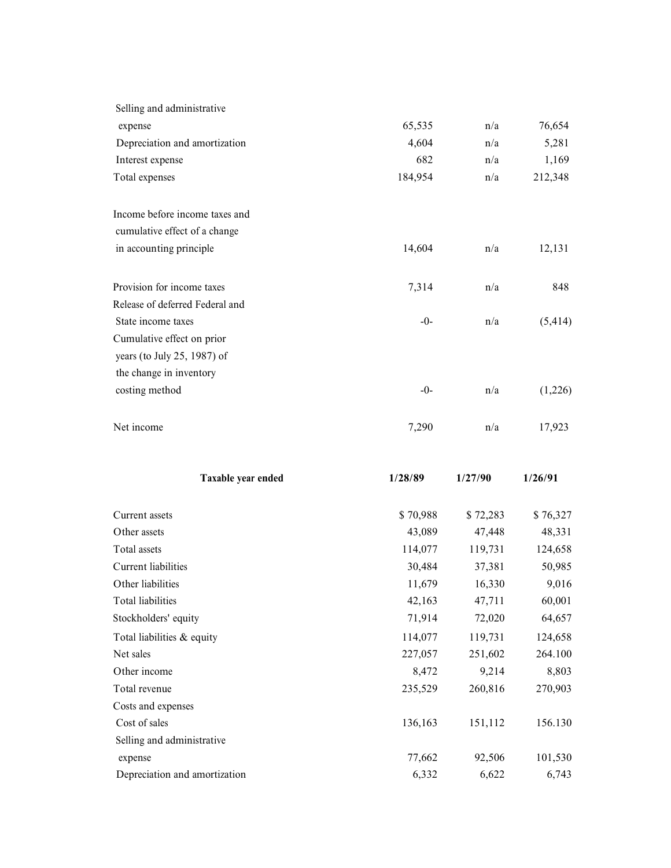| Selling and administrative      |                    |                    |                    |
|---------------------------------|--------------------|--------------------|--------------------|
| expense                         | 65,535             | n/a                | 76,654             |
| Depreciation and amortization   | 4,604              | n/a                | 5,281              |
| Interest expense                | 682                | n/a                | 1,169              |
| Total expenses                  | 184,954            | n/a                | 212,348            |
|                                 |                    |                    |                    |
| Income before income taxes and  |                    |                    |                    |
| cumulative effect of a change   |                    |                    |                    |
| in accounting principle         | 14,604             | n/a                | 12,131             |
| Provision for income taxes      |                    |                    | 848                |
| Release of deferred Federal and | 7,314              | n/a                |                    |
| State income taxes              | $-0-$              | n/a                | (5, 414)           |
| Cumulative effect on prior      |                    |                    |                    |
| years (to July 25, 1987) of     |                    |                    |                    |
| the change in inventory         |                    |                    |                    |
| costing method                  | $-0-$              | n/a                | (1,226)            |
|                                 |                    |                    |                    |
| Net income                      | 7,290              | $\rm n/a$          | 17,923             |
|                                 |                    |                    |                    |
| Taxable year ended              | 1/28/89            | 1/27/90            | 1/26/91            |
|                                 |                    |                    |                    |
| Current assets<br>Other assets  | \$70,988<br>43,089 | \$72,283<br>47,448 | \$76,327<br>48,331 |
| Total assets                    | 114,077            | 119,731            | 124,658            |
| Current liabilities             | 30,484             | 37,381             | 50,985             |
| Other liabilities               | 11,679             | 16,330             | 9,016              |
| Total liabilities               | 42,163             | 47,711             | 60,001             |
| Stockholders' equity            | 71,914             | 72,020             | 64,657             |
| Total liabilities & equity      | 114,077            | 119,731            | 124,658            |
| Net sales                       | 227,057            | 251,602            | 264.100            |
| Other income                    | 8,472              | 9,214              | 8,803              |
| Total revenue                   | 235,529            | 260,816            | 270,903            |
| Costs and expenses              |                    |                    |                    |
| Cost of sales                   | 136,163            | 151,112            | 156.130            |
| Selling and administrative      |                    |                    |                    |
| expense                         | 77,662             | 92,506<br>6,622    | 101,530<br>6,743   |
| Depreciation and amortization   | 6,332              |                    |                    |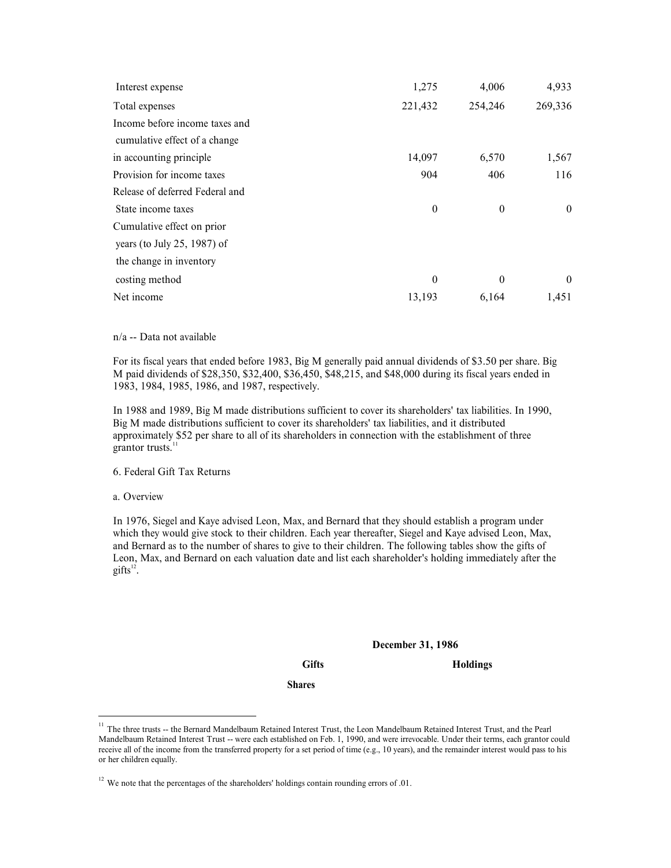| Interest expense<br>Total expenses                                                                                                                                                                                                                                                                                                                                                                                                                  | 1,275<br>221,432 | 4,006<br>254,246 | 4,933<br>269,336 |
|-----------------------------------------------------------------------------------------------------------------------------------------------------------------------------------------------------------------------------------------------------------------------------------------------------------------------------------------------------------------------------------------------------------------------------------------------------|------------------|------------------|------------------|
| Income before income taxes and                                                                                                                                                                                                                                                                                                                                                                                                                      |                  |                  |                  |
| cumulative effect of a change                                                                                                                                                                                                                                                                                                                                                                                                                       |                  |                  |                  |
| in accounting principle                                                                                                                                                                                                                                                                                                                                                                                                                             | 14,097           | 6,570            | 1,567            |
| Provision for income taxes                                                                                                                                                                                                                                                                                                                                                                                                                          | 904              | 406              | 116              |
| Release of deferred Federal and                                                                                                                                                                                                                                                                                                                                                                                                                     |                  |                  |                  |
| State income taxes                                                                                                                                                                                                                                                                                                                                                                                                                                  | $\boldsymbol{0}$ | $\boldsymbol{0}$ | $\boldsymbol{0}$ |
| Cumulative effect on prior                                                                                                                                                                                                                                                                                                                                                                                                                          |                  |                  |                  |
| years (to July 25, 1987) of                                                                                                                                                                                                                                                                                                                                                                                                                         |                  |                  |                  |
| the change in inventory                                                                                                                                                                                                                                                                                                                                                                                                                             |                  |                  |                  |
| costing method                                                                                                                                                                                                                                                                                                                                                                                                                                      | $\theta$         | $\mathbf{0}$     | 0                |
| Net income                                                                                                                                                                                                                                                                                                                                                                                                                                          | 13,193           | 6,164            | 1,451            |
|                                                                                                                                                                                                                                                                                                                                                                                                                                                     |                  |                  |                  |
| n/a -- Data not available                                                                                                                                                                                                                                                                                                                                                                                                                           |                  |                  |                  |
| For its fiscal years that ended before 1983, Big M generally paid annual dividends of \$3.50 per share. Big<br>M paid dividends of \$28,350, \$32,400, \$36,450, \$48,215, and \$48,000 during its fiscal years ended in<br>1983, 1984, 1985, 1986, and 1987, respectively.                                                                                                                                                                         |                  |                  |                  |
| In 1988 and 1989, Big M made distributions sufficient to cover its shareholders' tax liabilities. In 1990,<br>Big M made distributions sufficient to cover its shareholders' tax liabilities, and it distributed<br>approximately \$52 per share to all of its shareholders in connection with the establishment of three<br>grantor trusts. <sup>11</sup>                                                                                          |                  |                  |                  |
| 6. Federal Gift Tax Returns                                                                                                                                                                                                                                                                                                                                                                                                                         |                  |                  |                  |
| a. Overview                                                                                                                                                                                                                                                                                                                                                                                                                                         |                  |                  |                  |
| In 1976, Siegel and Kaye advised Leon, Max, and Bernard that they should establish a program under<br>which they would give stock to their children. Each year thereafter, Siegel and Kaye advised Leon, Max,<br>and Bernard as to the number of shares to give to their children. The following tables show the gifts of<br>Leon, Max, and Bernard on each valuation date and list each shareholder's holding immediately after the<br>$gifts12$ . |                  |                  |                  |
|                                                                                                                                                                                                                                                                                                                                                                                                                                                     |                  |                  |                  |

of the change in inventory<br>
osting method<br>
Net income<br>
Net income<br>
13, 1933 6.164 14.51<br>
Net income<br>
14.51 Detail years that ended before 1983, Big M generally paid annual dividends of \$3.50 per share. Big<br>
My paid dividen Leon and the matter of the state of the state and list each shareholder's holding immediately after the state and Bernard valuation of S2.5.50 per share. Big Dividends of \$3.50 per share. Big Max, 1984, 1985, 1986, and 1 gifts $^{12}$ . . and annual dividends of \$3.50 per share. Big<br>dd \$48,000 during its fiscal years ended in<br>ver its shareholders' tax liabilities. In 1990,<br>tax liabilities, and it distributed<br>ection with the establishment of three<br>tetion wit 11 The these trusts --<br>
16. Federal Gift Tax Returns<br>
16. Federal Gift Tax Returns<br>
1976, Siegel and Kaye advised Leon, Max, and Bernard that they should establish a program under<br>
1976, Siegel and Kaye advised I.com, Max, 6. Federal Gift Tax Returns<br>
a. Overview<br>
In 1976, Siegel and Kaye advised Leon, Max, and Bernard that they should establish a program under<br>
which they would give stock to their children. Each your therefore, Siegel and 6. Federal Gift Tax Returns<br>
a. Overview<br>
10. Nextrieve and Kaye advised Leon, Max, and Bernard that they should establish a program under<br>
11976, Siggel and Kaye advised Leon, Max, and Hermard on each year thereafter, Si

Gifts Holdings

Shares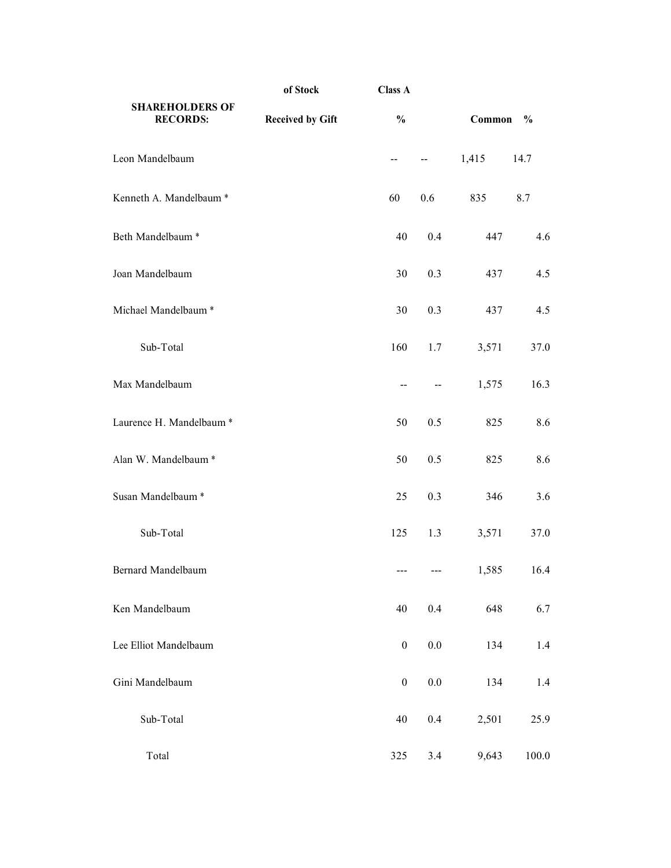| of Stock<br><b>Class A</b><br><b>SHAREHOLDERS OF</b><br>$\frac{0}{0}$<br><b>Received by Gift</b><br><b>RECORDS:</b><br>$\mathord{\hspace{1pt}\text{--}\hspace{1pt}}$<br>60<br>40<br>30<br>30<br>Sub-Total<br>160<br>$\sim$ $\sim$<br>50 | $\overline{\phantom{m}}$ | Common $\%$ |         |
|-----------------------------------------------------------------------------------------------------------------------------------------------------------------------------------------------------------------------------------------|--------------------------|-------------|---------|
|                                                                                                                                                                                                                                         |                          |             |         |
| Leon Mandelbaum                                                                                                                                                                                                                         |                          |             |         |
|                                                                                                                                                                                                                                         |                          |             |         |
| Kenneth A. Mandelbaum *<br>Beth Mandelbaum <sup>*</sup><br>Joan Mandelbaum<br>Michael Mandelbaum *<br>Max Mandelbaum<br>Laurence H. Mandelbaum *                                                                                        |                          | 1,415       | 14.7    |
|                                                                                                                                                                                                                                         | $0.6\,$                  | 835         | $8.7\,$ |
|                                                                                                                                                                                                                                         | $0.4\,$                  | 447         | 4.6     |
|                                                                                                                                                                                                                                         | $0.3\,$                  | 437         | 4.5     |
|                                                                                                                                                                                                                                         | 0.3                      | 437         | 4.5     |
|                                                                                                                                                                                                                                         | 1.7                      | 3,571       | 37.0    |
|                                                                                                                                                                                                                                         | $\overline{a}$           | 1,575       | 16.3    |
|                                                                                                                                                                                                                                         | 0.5                      | 825         | 8.6     |
| Alan W. Mandelbaum *<br>50                                                                                                                                                                                                              | 0.5                      | 825         | 8.6     |
| Susan Mandelbaum *<br>25                                                                                                                                                                                                                | 0.3                      | 346         | $3.6$   |
| $\operatorname{\mathsf{Sub-Total}}$<br>125                                                                                                                                                                                              | 1.3                      | 3,571       | 37.0    |
| Bernard Mandelbaum<br>---                                                                                                                                                                                                               | $\qquad \qquad -$        | 1,585       | 16.4    |
| Ken Mandelbaum<br>$40\,$                                                                                                                                                                                                                | $0.4\,$                  | 648         | 6.7     |
| Lee Elliot Mandelbaum<br>$\overline{0}$                                                                                                                                                                                                 | $0.0\,$                  | 134         | 1.4     |
| Gini Mandelbaum<br>$\boldsymbol{0}$                                                                                                                                                                                                     | 0.0                      | 134         | 1.4     |
| $\operatorname{\mathsf{Sub-Total}}$<br>$40\,$                                                                                                                                                                                           | $0.4\,$                  | 2,501       | 25.9    |
| Total<br>325                                                                                                                                                                                                                            | 3.4                      | 9,643       | 100.0   |
|                                                                                                                                                                                                                                         |                          |             |         |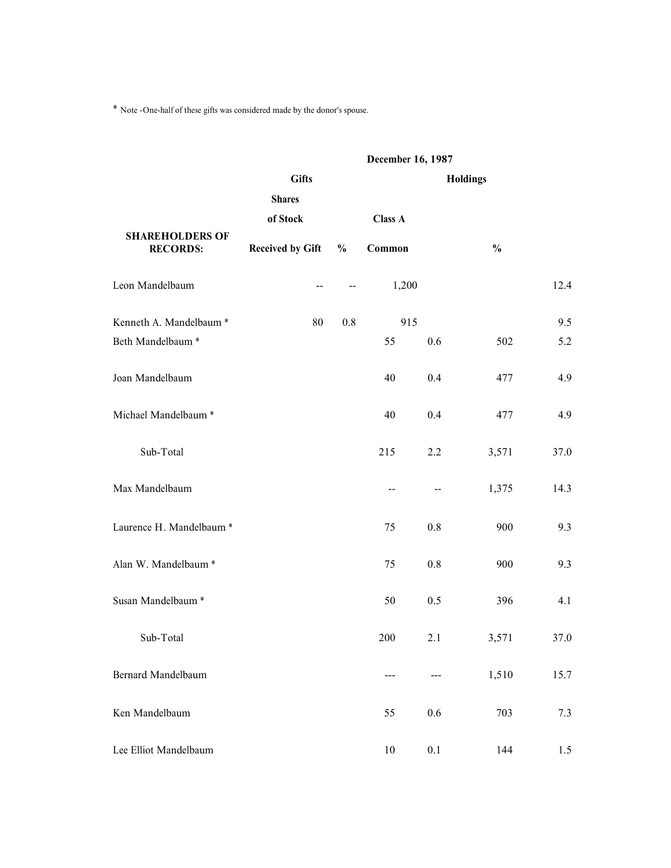| * Note -One-half of these gifts was considered made by the donor's spouse. |                           |                          |                                                         |                                   |                 |         |
|----------------------------------------------------------------------------|---------------------------|--------------------------|---------------------------------------------------------|-----------------------------------|-----------------|---------|
|                                                                            | <b>Gifts</b>              |                          | December 16, 1987                                       |                                   | <b>Holdings</b> |         |
|                                                                            | <b>Shares</b><br>of Stock |                          | Class A                                                 |                                   |                 |         |
| <b>SHAREHOLDERS OF</b><br><b>RECORDS:</b>                                  | <b>Received by Gift</b>   | $\frac{0}{0}$            | Common                                                  |                                   | $\frac{0}{0}$   |         |
| Leon Mandelbaum                                                            | $\overline{\phantom{m}}$  | $\overline{\phantom{m}}$ | 1,200                                                   |                                   |                 | 12.4    |
| Kenneth A. Mandelbaum *                                                    | $80\,$                    | $0.8\,$                  | 915                                                     |                                   |                 | 9.5     |
| Beth Mandelbaum $^\ast$                                                    |                           |                          | 55                                                      | $0.6\,$                           | 502             | 5.2     |
| Joan Mandelbaum                                                            |                           |                          | 40                                                      | $0.4\,$                           | 477             | 4.9     |
| Michael Mandelbaum $^\ast$                                                 |                           |                          | $40\,$                                                  | $0.4\,$                           | 477             | 4.9     |
| $\operatorname{\mathsf{Sub-Total}}$                                        |                           |                          | 215                                                     | $2.2\,$                           | 3,571           | 37.0    |
| Max Mandelbaum                                                             |                           |                          | $\textcolor{red}{\mathbf -} \textcolor{red}{\mathbf -}$ | $\hspace{0.05cm} \dashrightarrow$ | 1,375           | 14.3    |
| Laurence H. Mandelbaum *                                                   |                           |                          | 75                                                      | $0.8\,$                           | 900             | $9.3\,$ |
| Alan W. Mandelbaum $^\ast$                                                 |                           |                          | 75                                                      | $0.8\,$                           | 900             | 9.3     |
| Susan Mandelbaum $^\ast$                                                   |                           |                          | 50                                                      | $0.5\,$                           | 396             | 4.1     |
| $\operatorname{\mathsf{Sub-Total}}$                                        |                           |                          | $200\,$                                                 | 2.1                               | 3,571           | 37.0    |
| Bernard Mandelbaum                                                         |                           |                          | $\hspace{0.05cm} \dashrightarrow$                       | $\qquad \qquad -\qquad -$         | 1,510           | 15.7    |
| Ken Mandelbaum                                                             |                           |                          | 55                                                      | $0.6\,$                           | 703             | 7.3     |
| Lee Elliot Mandelbaum                                                      |                           |                          | $10\,$                                                  | $0.1\,$                           | 144             | 1.5     |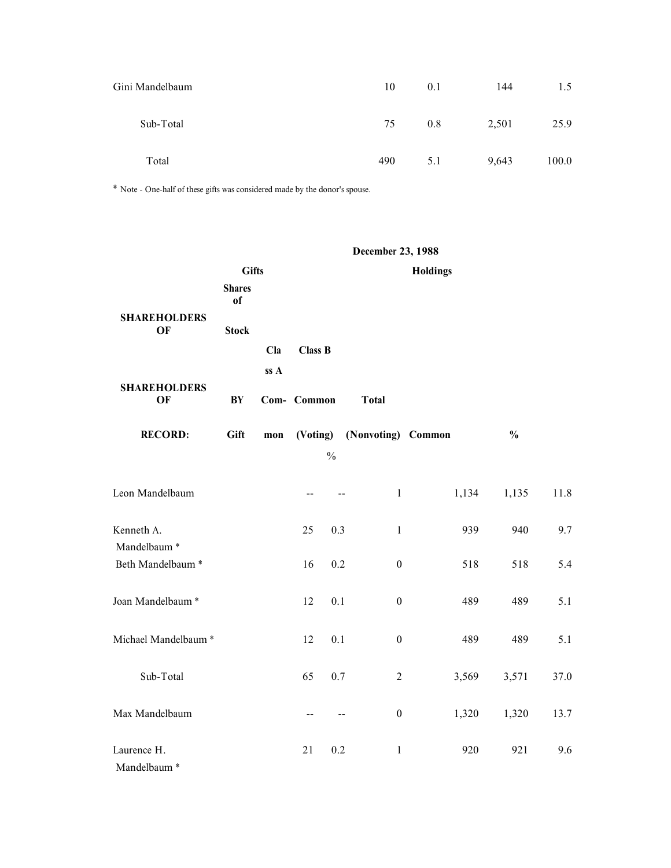| Gini Mandelbaum                     |                                                                             | $10\,$            | 0.1      | 144   | $1.5$     |  |
|-------------------------------------|-----------------------------------------------------------------------------|-------------------|----------|-------|-----------|--|
| $\operatorname{\mathsf{Sub-Total}}$ |                                                                             | 75                | $0.8\,$  | 2,501 | 25.9      |  |
| Total                               |                                                                             | 490               | 5.1      | 9,643 | $100.0\,$ |  |
|                                     | * Note - One-half of these gifts was considered made by the donor's spouse. |                   |          |       |           |  |
|                                     |                                                                             | December 23, 1988 |          |       |           |  |
|                                     | <b>Gifts</b><br><b>Shares</b>                                               |                   | Holdings |       |           |  |
| <b>SHAREHOLDERS</b>                 | of                                                                          |                   |          |       |           |  |

| Total                                                                       |                                     |                |                |                          | 490               | 5.1                |       | 9,643         | 100.0 |
|-----------------------------------------------------------------------------|-------------------------------------|----------------|----------------|--------------------------|-------------------|--------------------|-------|---------------|-------|
| * Note - One-half of these gifts was considered made by the donor's spouse. |                                     |                |                |                          |                   |                    |       |               |       |
|                                                                             |                                     |                |                |                          |                   |                    |       |               |       |
|                                                                             |                                     |                |                |                          | December 23, 1988 |                    |       |               |       |
|                                                                             | <b>Gifts</b><br><b>Shares</b><br>of |                |                |                          |                   | <b>Holdings</b>    |       |               |       |
| <b>SHAREHOLDERS</b><br>OF                                                   | <b>Stock</b>                        |                |                |                          |                   |                    |       |               |       |
|                                                                             |                                     | Cla            | <b>Class B</b> |                          |                   |                    |       |               |       |
| <b>SHAREHOLDERS</b>                                                         |                                     | ss A           |                |                          |                   |                    |       |               |       |
| OF                                                                          | BY                                  |                | Com- Common    |                          | <b>Total</b>      |                    |       |               |       |
| <b>RECORD:</b>                                                              | Gift                                | $\mathbf{mon}$ | (Voting)       |                          |                   | (Nonvoting) Common |       | $\frac{0}{0}$ |       |
|                                                                             |                                     |                |                | $\%$                     |                   |                    |       |               |       |
| Leon Mandelbaum                                                             |                                     |                |                |                          | $\mathbf{1}$      |                    | 1,134 | 1,135         | 11.8  |
| Kenneth A.                                                                  |                                     |                | 25             | 0.3                      | $\mathbf{1}$      |                    | 939   | 940           | 9.7   |
| Mandelbaum <sup>*</sup><br>Beth Mandelbaum *                                |                                     |                | 16             | 0.2                      | $\boldsymbol{0}$  |                    | 518   | 518           | 5.4   |
|                                                                             |                                     |                |                |                          |                   |                    |       |               |       |
| Joan Mandelbaum <sup>*</sup>                                                |                                     |                | 12             | 0.1                      | $\boldsymbol{0}$  |                    | 489   | 489           | 5.1   |
| Michael Mandelbaum <sup>*</sup>                                             |                                     |                | $12 \t 0.1$    |                          | $\boldsymbol{0}$  |                    | 489   | 489           | 5.1   |
| $\operatorname{\mathsf{Sub-Total}}$                                         |                                     |                | 65             | $0.7\,$                  | $\overline{c}$    |                    | 3,569 | 3,571         | 37.0  |
| Max Mandelbaum                                                              |                                     |                | $\sim$ $\sim$  | $\overline{\phantom{m}}$ | $\boldsymbol{0}$  |                    | 1,320 | 1,320         | 13.7  |
| Laurence H.<br>Mandelbaum <sup>*</sup>                                      |                                     |                | 21             | $0.2\,$                  | $\mathbf{1}$      |                    | 920   | 921           | 9.6   |
|                                                                             |                                     |                |                |                          |                   |                    |       |               |       |
|                                                                             |                                     |                |                |                          |                   |                    |       |               |       |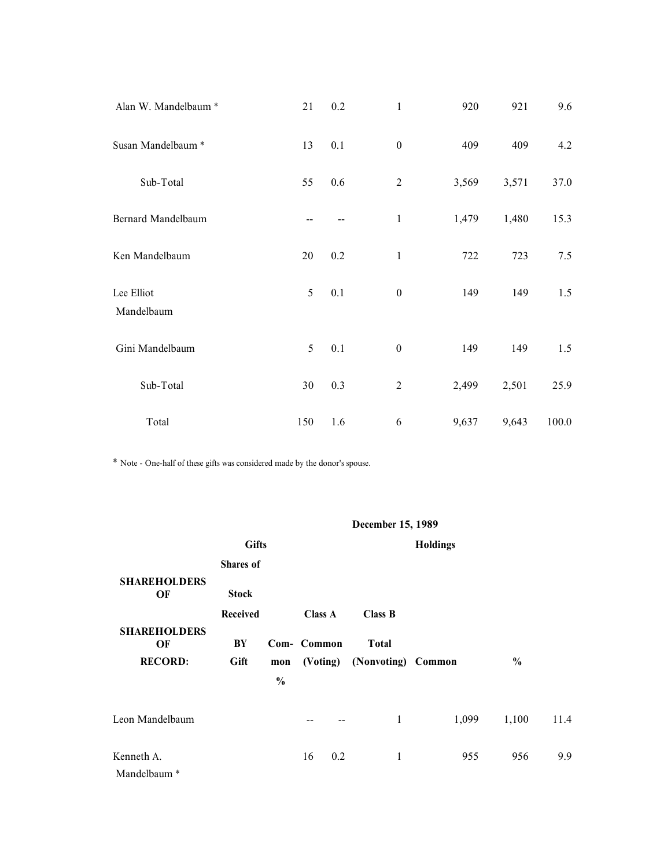| Alan W. Mandelbaum $^\ast$                                                  |                           | $21\,$                                        | $0.2\,$ | $\mathbf{1}$      | 920      | 921   | 9.6       |
|-----------------------------------------------------------------------------|---------------------------|-----------------------------------------------|---------|-------------------|----------|-------|-----------|
| Susan Mandelbaum $^\ast$                                                    |                           | $13\,$                                        | $0.1\,$ | $\boldsymbol{0}$  | 409      | 409   | 4.2       |
| $\operatorname{\mathsf{Sub-Total}}$                                         |                           | 55                                            | $0.6\,$ | $\sqrt{2}$        | 3,569    | 3,571 | 37.0      |
| Bernard Mandelbaum                                                          |                           | $\mathord{\hspace{1pt}\text{--}\hspace{1pt}}$ | $- -$   | $\mathbf{1}$      | 1,479    | 1,480 | 15.3      |
| Ken Mandelbaum                                                              |                           | 20                                            | 0.2     | $\mathbf{1}$      | 722      | 723   | 7.5       |
| Lee Elliot<br>Mandelbaum                                                    |                           | $\mathfrak{S}$                                | 0.1     | $\boldsymbol{0}$  | 149      | 149   | 1.5       |
| Gini Mandelbaum                                                             |                           | 5 <sup>7</sup>                                | $0.1\,$ | $\boldsymbol{0}$  | 149      | 149   | $1.5$     |
| $\operatorname{\mathsf{Sub-Total}}$                                         |                           | $30\,$                                        | 0.3     | $\overline{c}$    | 2,499    | 2,501 | 25.9      |
| Total                                                                       |                           | 150                                           | 1.6     | $\sqrt{6}$        | 9,637    | 9,643 | $100.0\,$ |
| * Note - One-half of these gifts was considered made by the donor's spouse. |                           |                                               |         |                   |          |       |           |
|                                                                             |                           |                                               |         |                   |          |       |           |
| <b>SHAREHOLDERS</b>                                                         | <b>Gifts</b><br>Shares of |                                               |         | December 15, 1989 | Holdings |       |           |
| OF                                                                          | <b>Stock</b>              |                                               |         |                   |          |       |           |

| $\operatorname{\mathsf{Sub-Total}}$                                         |                |                                 | $30\,$                        | 0.3                                   | $\boldsymbol{2}$               | 2,499           | 2,501         | 25.9     |
|-----------------------------------------------------------------------------|----------------|---------------------------------|-------------------------------|---------------------------------------|--------------------------------|-----------------|---------------|----------|
| Total                                                                       |                |                                 | 150                           | 1.6                                   | $\sqrt{6}$                     | 9,637           | 9,643         | 100.0    |
| * Note - One-half of these gifts was considered made by the donor's spouse. |                |                                 |                               |                                       |                                |                 |               |          |
|                                                                             |                |                                 |                               |                                       | December 15, 1989              |                 |               |          |
|                                                                             | <b>Gifts</b>   |                                 |                               |                                       |                                | <b>Holdings</b> |               |          |
| <b>SHAREHOLDERS</b>                                                         | Shares of      |                                 |                               |                                       |                                |                 |               |          |
| OF                                                                          | <b>Stock</b>   |                                 |                               |                                       |                                |                 |               |          |
| <b>SHAREHOLDERS</b><br>OF                                                   | Received<br>BY |                                 | <b>Class A</b><br>Com- Common |                                       | <b>Class B</b><br><b>Total</b> |                 |               |          |
| <b>RECORD:</b>                                                              | Gift           | $\mathbf{mon}$<br>$\frac{0}{0}$ | (Voting)                      |                                       | (Nonvoting) Common             |                 | $\frac{0}{0}$ |          |
| Leon Mandelbaum                                                             |                |                                 |                               | $\hspace{0.05cm}$ – $\hspace{0.05cm}$ | $\mathbf{1}$                   | 1,099           | 1,100         | $11.4\,$ |
| Kenneth A.<br>Mandelbaum $^\ast$                                            |                |                                 | 16                            | $0.2\,$                               | $\mathbf{1}$                   | 955             | 956           | 9.9      |
|                                                                             |                |                                 |                               |                                       |                                |                 |               |          |
|                                                                             |                |                                 |                               |                                       |                                |                 |               |          |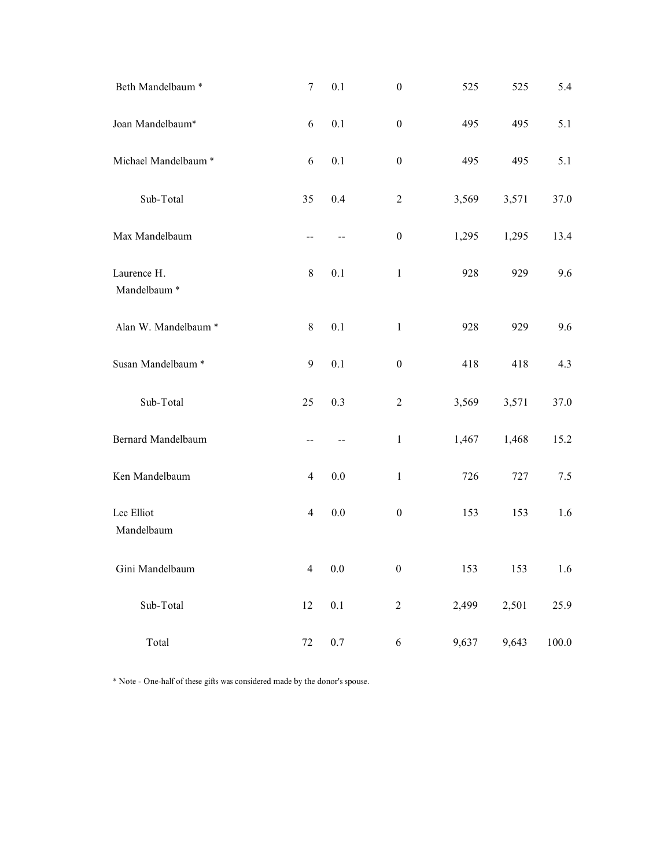| $7\overline{ }$<br>0.1<br>$\boldsymbol{0}$<br>525<br>525<br>5.4<br>0.1<br>$\boldsymbol{0}$<br>$6\,$<br>495<br>5.1<br>495<br>0.1<br>$6\,$<br>$\boldsymbol{0}$<br>495<br>495<br>5.1<br>${\rm Sub\text{-}Total}$<br>$0.4\,$<br>35<br>$\overline{c}$<br>3,569<br>3,571<br>37.0<br>$\boldsymbol{0}$<br>1,295<br>1,295<br>13.4<br>$\hspace{0.05cm}$ – $\hspace{0.05cm}$<br>$\overline{\phantom{m}}$<br>$8\,$<br>$0.1\,$<br>9.6<br>$\mathbf{1}$<br>928<br>929<br>$8\,$<br>$0.1\,$<br>928<br>929<br>9.6<br>$\mathbf{1}$<br>$0.1\,$<br>$\boldsymbol{0}$<br>9<br>418<br>418<br>4.3<br>$\operatorname{\mathsf{Sub-Total}}$<br>0.3<br>3,571<br>37.0<br>25<br>$\overline{c}$<br>3,569<br>1,468<br>1,467<br>15.2<br>$\mathbf{1}$<br>$\overline{\phantom{a}}$<br>$- -$<br>$0.0\,$<br>$\mathbf{1}$<br>726<br>727<br>7.5<br>$\overline{4}$<br>$0.0\,$<br>$\boldsymbol{0}$<br>153<br>$\overline{4}$<br>153<br>1.6<br>$0.0\,$<br>$\boldsymbol{0}$<br>153<br>153<br>$\overline{4}$<br>1.6<br>$\operatorname{\mathsf{Sub-Total}}$<br>$0.1\,$<br>$12\,$<br>$\overline{c}$<br>2,499<br>2,501<br>25.9<br>$0.7\,$<br>Total<br>72<br>9,643<br>$\sqrt{6}$<br>9,637<br>$100.0\,$<br>* Note - One-half of these gifts was considered made by the donor's spouse. |                                        |  |  |  |
|-------------------------------------------------------------------------------------------------------------------------------------------------------------------------------------------------------------------------------------------------------------------------------------------------------------------------------------------------------------------------------------------------------------------------------------------------------------------------------------------------------------------------------------------------------------------------------------------------------------------------------------------------------------------------------------------------------------------------------------------------------------------------------------------------------------------------------------------------------------------------------------------------------------------------------------------------------------------------------------------------------------------------------------------------------------------------------------------------------------------------------------------------------------------------------------------------------------------------------------|----------------------------------------|--|--|--|
|                                                                                                                                                                                                                                                                                                                                                                                                                                                                                                                                                                                                                                                                                                                                                                                                                                                                                                                                                                                                                                                                                                                                                                                                                                     |                                        |  |  |  |
|                                                                                                                                                                                                                                                                                                                                                                                                                                                                                                                                                                                                                                                                                                                                                                                                                                                                                                                                                                                                                                                                                                                                                                                                                                     |                                        |  |  |  |
|                                                                                                                                                                                                                                                                                                                                                                                                                                                                                                                                                                                                                                                                                                                                                                                                                                                                                                                                                                                                                                                                                                                                                                                                                                     |                                        |  |  |  |
|                                                                                                                                                                                                                                                                                                                                                                                                                                                                                                                                                                                                                                                                                                                                                                                                                                                                                                                                                                                                                                                                                                                                                                                                                                     |                                        |  |  |  |
|                                                                                                                                                                                                                                                                                                                                                                                                                                                                                                                                                                                                                                                                                                                                                                                                                                                                                                                                                                                                                                                                                                                                                                                                                                     |                                        |  |  |  |
|                                                                                                                                                                                                                                                                                                                                                                                                                                                                                                                                                                                                                                                                                                                                                                                                                                                                                                                                                                                                                                                                                                                                                                                                                                     | Beth Mandelbaum $^\ast$                |  |  |  |
|                                                                                                                                                                                                                                                                                                                                                                                                                                                                                                                                                                                                                                                                                                                                                                                                                                                                                                                                                                                                                                                                                                                                                                                                                                     | Joan Mandelbaum*                       |  |  |  |
|                                                                                                                                                                                                                                                                                                                                                                                                                                                                                                                                                                                                                                                                                                                                                                                                                                                                                                                                                                                                                                                                                                                                                                                                                                     | Michael Mandelbaum <sup>*</sup>        |  |  |  |
|                                                                                                                                                                                                                                                                                                                                                                                                                                                                                                                                                                                                                                                                                                                                                                                                                                                                                                                                                                                                                                                                                                                                                                                                                                     |                                        |  |  |  |
|                                                                                                                                                                                                                                                                                                                                                                                                                                                                                                                                                                                                                                                                                                                                                                                                                                                                                                                                                                                                                                                                                                                                                                                                                                     | Max Mandelbaum                         |  |  |  |
|                                                                                                                                                                                                                                                                                                                                                                                                                                                                                                                                                                                                                                                                                                                                                                                                                                                                                                                                                                                                                                                                                                                                                                                                                                     | Laurence H.<br>Mandelbaum <sup>*</sup> |  |  |  |
|                                                                                                                                                                                                                                                                                                                                                                                                                                                                                                                                                                                                                                                                                                                                                                                                                                                                                                                                                                                                                                                                                                                                                                                                                                     | Alan W. Mandelbaum $^\ast$             |  |  |  |
|                                                                                                                                                                                                                                                                                                                                                                                                                                                                                                                                                                                                                                                                                                                                                                                                                                                                                                                                                                                                                                                                                                                                                                                                                                     | Susan Mandelbaum *                     |  |  |  |
|                                                                                                                                                                                                                                                                                                                                                                                                                                                                                                                                                                                                                                                                                                                                                                                                                                                                                                                                                                                                                                                                                                                                                                                                                                     |                                        |  |  |  |
|                                                                                                                                                                                                                                                                                                                                                                                                                                                                                                                                                                                                                                                                                                                                                                                                                                                                                                                                                                                                                                                                                                                                                                                                                                     | Bernard Mandelbaum                     |  |  |  |
|                                                                                                                                                                                                                                                                                                                                                                                                                                                                                                                                                                                                                                                                                                                                                                                                                                                                                                                                                                                                                                                                                                                                                                                                                                     | Ken Mandelbaum                         |  |  |  |
|                                                                                                                                                                                                                                                                                                                                                                                                                                                                                                                                                                                                                                                                                                                                                                                                                                                                                                                                                                                                                                                                                                                                                                                                                                     | Lee Elliot<br>Mandelbaum               |  |  |  |
|                                                                                                                                                                                                                                                                                                                                                                                                                                                                                                                                                                                                                                                                                                                                                                                                                                                                                                                                                                                                                                                                                                                                                                                                                                     | Gini Mandelbaum                        |  |  |  |
|                                                                                                                                                                                                                                                                                                                                                                                                                                                                                                                                                                                                                                                                                                                                                                                                                                                                                                                                                                                                                                                                                                                                                                                                                                     |                                        |  |  |  |
|                                                                                                                                                                                                                                                                                                                                                                                                                                                                                                                                                                                                                                                                                                                                                                                                                                                                                                                                                                                                                                                                                                                                                                                                                                     |                                        |  |  |  |
|                                                                                                                                                                                                                                                                                                                                                                                                                                                                                                                                                                                                                                                                                                                                                                                                                                                                                                                                                                                                                                                                                                                                                                                                                                     |                                        |  |  |  |
|                                                                                                                                                                                                                                                                                                                                                                                                                                                                                                                                                                                                                                                                                                                                                                                                                                                                                                                                                                                                                                                                                                                                                                                                                                     |                                        |  |  |  |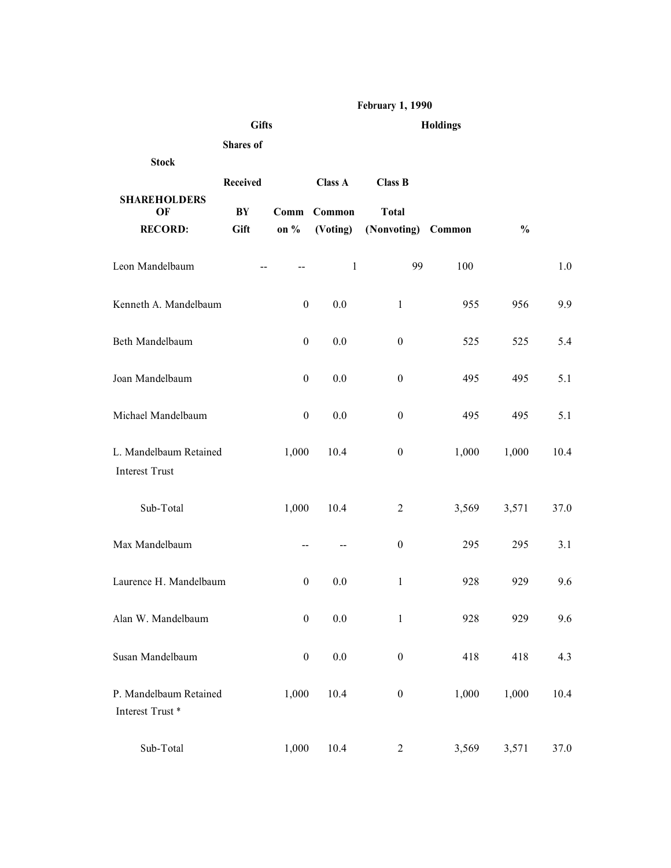|                                                       |                |                                       |                          | <b>February 1, 1990</b>        |                 |               |         |
|-------------------------------------------------------|----------------|---------------------------------------|--------------------------|--------------------------------|-----------------|---------------|---------|
|                                                       | <b>Gifts</b>   |                                       |                          |                                | <b>Holdings</b> |               |         |
| <b>Stock</b>                                          | Shares of      |                                       |                          |                                |                 |               |         |
| <b>SHAREHOLDERS</b><br>OF                             | Received<br>BY | Comm                                  | <b>Class A</b><br>Common | <b>Class B</b><br><b>Total</b> |                 |               |         |
| <b>RECORD:</b>                                        | Gift           | on %                                  | (Voting)                 | (Nonvoting)                    | Common          | $\frac{0}{0}$ |         |
| Leon Mandelbaum                                       |                | $\sim$ $\sim$                         | 1                        | 99                             | 100             |               | $1.0\,$ |
| Kenneth A. Mandelbaum                                 |                | $\boldsymbol{0}$                      | $0.0\,$                  | $\mathbf{1}$                   | 955             | 956           | 9.9     |
| Beth Mandelbaum                                       |                | $\boldsymbol{0}$                      | $0.0\,$                  | $\boldsymbol{0}$               | 525             | 525           | 5.4     |
| Joan Mandelbaum                                       |                | $\boldsymbol{0}$                      | $0.0\,$                  | $\boldsymbol{0}$               | 495             | 495           | $5.1\,$ |
| Michael Mandelbaum                                    |                | $\boldsymbol{0}$                      | $0.0\,$                  | $\boldsymbol{0}$               | 495             | 495           | $5.1\,$ |
| L. Mandelbaum Retained<br>Interest Trust              |                | 1,000                                 | 10.4                     | $\boldsymbol{0}$               | 1,000           | 1,000         | 10.4    |
| $\operatorname{\mathsf{Sub-Total}}$                   |                | 1,000                                 | 10.4                     | $\overline{c}$                 | 3,569           | 3,571         | 37.0    |
| Max Mandelbaum                                        |                | $\hspace{0.05cm}$ – $\hspace{0.05cm}$ | $\sim$                   | $\boldsymbol{0}$               | 295             | 295           | $3.1\,$ |
| Laurence H. Mandelbaum                                |                | $\boldsymbol{0}$                      | $0.0\,$                  | $\mathbf{1}$                   | 928             | 929           | 9.6     |
| Alan W. Mandelbaum<br>Susan Mandelbaum                |                | $\bf{0}$<br>$\boldsymbol{0}$          | $0.0\,$                  | $\mathbf{1}$                   | 928             | 929           | 9.6     |
|                                                       |                |                                       | $0.0\,$                  | $\boldsymbol{0}$               | 418             | 418           | 4.3     |
| P. Mandelbaum Retained<br>Interest Trust <sup>*</sup> |                | 1,000                                 | 10.4                     | $\boldsymbol{0}$               | 1,000           | 1,000         | 10.4    |
| $\operatorname{\mathsf{Sub-Total}}$                   |                | 1,000                                 | $10.4\,$                 | $\overline{c}$                 | 3,569           | 3,571         | 37.0    |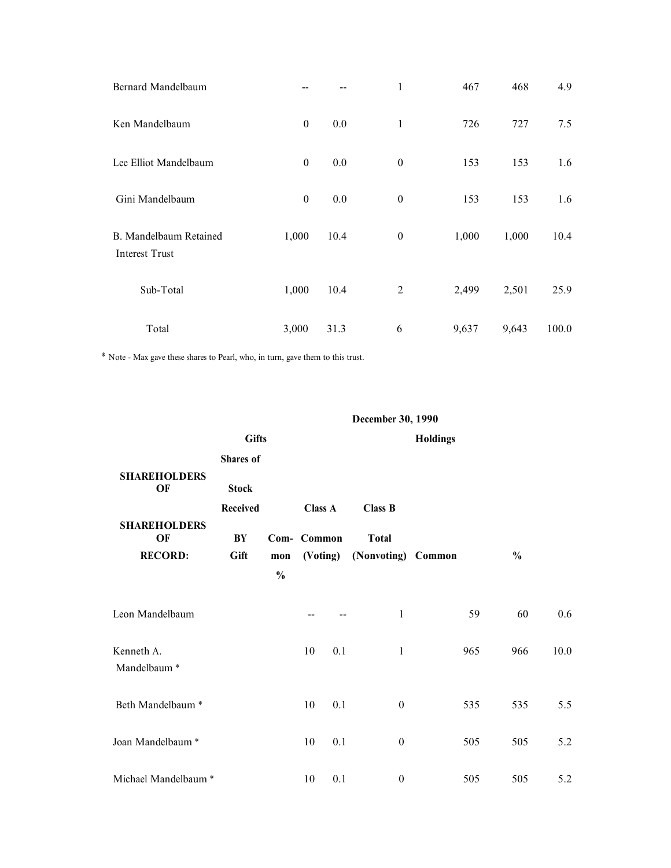| Lee Elliot Mandelbaum<br>Gini Mandelbaum |       | $\boldsymbol{0}$<br>$0.0\,$<br>$\boldsymbol{0}$<br>$0.0\,$ | $\bf{0}$<br>$\boldsymbol{0}$ | 153<br>153 | 153<br>153 | 1.6<br>1.6 |
|------------------------------------------|-------|------------------------------------------------------------|------------------------------|------------|------------|------------|
| B. Mandelbaum Retained                   | 1,000 | 10.4                                                       | $\boldsymbol{0}$             | 1,000      | 1,000      | 10.4       |
| Interest Trust                           |       |                                                            |                              |            |            |            |
| Sub-Total                                | 1,000 | 10.4                                                       | $\overline{2}$               | 2,499      | 2,501      | 25.9       |
|                                          |       |                                                            |                              |            |            |            |
| Total                                    | 3,000 | 31.3                                                       | $\sqrt{6}$                   | 9,637      | 9,643      | 100.0      |

| Sub-Total                                                                     |              | 1,000                     |                          | 10.4    | $\overline{c}$                     | 2,499           | 2,501         | 25.9          |  |
|-------------------------------------------------------------------------------|--------------|---------------------------|--------------------------|---------|------------------------------------|-----------------|---------------|---------------|--|
| Total                                                                         |              | 3,000                     |                          | 31.3    | 6                                  | 9,637           | 9,643         | 100.0         |  |
| Note - Max gave these shares to Pearl, who, in turn, gave them to this trust. |              |                           |                          |         |                                    |                 |               |               |  |
|                                                                               |              |                           |                          |         |                                    |                 |               |               |  |
|                                                                               |              |                           |                          |         | December 30, 1990                  |                 |               |               |  |
|                                                                               | <b>Gifts</b> |                           |                          |         |                                    | <b>Holdings</b> |               |               |  |
| <b>SHAREHOLDERS</b>                                                           | Shares of    |                           |                          |         |                                    |                 |               |               |  |
| OF                                                                            | <b>Stock</b> |                           |                          |         |                                    |                 |               |               |  |
| <b>SHAREHOLDERS</b>                                                           | Received     |                           | <b>Class A</b>           |         | <b>Class B</b>                     |                 |               |               |  |
| OF<br><b>RECORD:</b>                                                          | BY<br>Gift   | Com- Common<br>$\bf{mon}$ | (Voting)                 |         | <b>Total</b><br>(Nonvoting) Common |                 | $\frac{0}{0}$ |               |  |
|                                                                               |              | $\frac{0}{0}$             |                          |         |                                    |                 |               |               |  |
| Leon Mandelbaum                                                               |              |                           | $\overline{\phantom{a}}$ | $- -$   | $\mathbf{1}$                       |                 | 59            | 60<br>$0.6\,$ |  |
| Kenneth A.<br>Mandelbaum $^\ast$                                              |              |                           | $10\,$                   | 0.1     | $\mathbf{1}$                       | 965             | 966           | $10.0\,$      |  |
| Beth Mandelbaum *                                                             |              |                           | 10                       | $0.1\,$ | $\boldsymbol{0}$                   | 535             | 535           | 5.5           |  |
| Joan Mandelbaum <sup>*</sup>                                                  |              |                           | 10                       | $0.1\,$ | $\boldsymbol{0}$                   | 505             | 505           | 5.2           |  |
| Michael Mandelbaum <sup>*</sup>                                               |              |                           | 10                       | $0.1\,$ | $\bf{0}$                           |                 | 505<br>505    | 5.2           |  |
|                                                                               |              |                           |                          |         |                                    |                 |               |               |  |
|                                                                               |              |                           |                          |         |                                    |                 |               |               |  |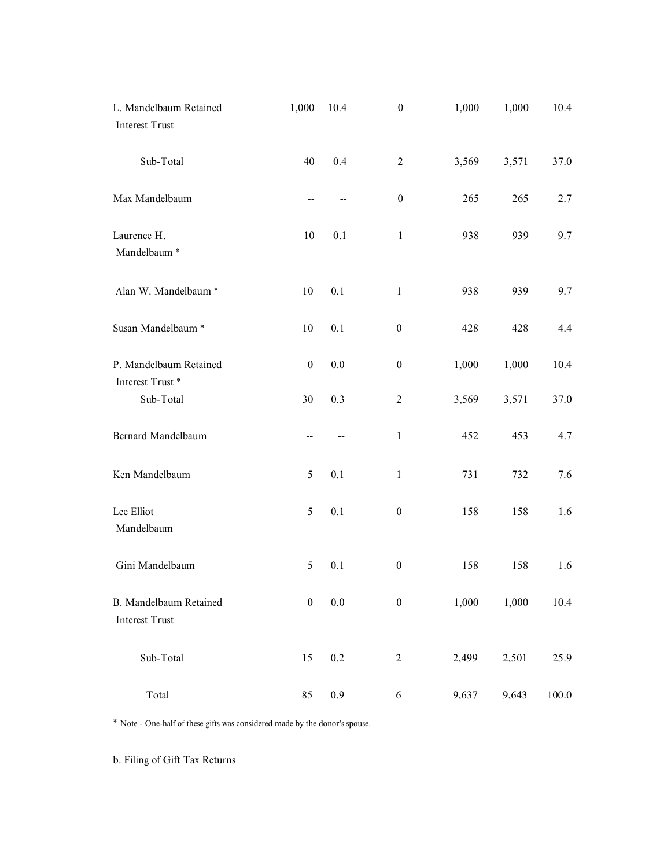| L. Mandelbaum Retained<br>Interest Trust                                    | 1,000                    | 10.4                     | $\boldsymbol{0}$ | 1,000 | 1,000 | 10.4     |
|-----------------------------------------------------------------------------|--------------------------|--------------------------|------------------|-------|-------|----------|
| Sub-Total                                                                   | 40                       | $0.4\,$                  | $\overline{2}$   | 3,569 | 3,571 | 37.0     |
| Max Mandelbaum                                                              | $\overline{\phantom{m}}$ | $\mathbf{H}$             | $\boldsymbol{0}$ | 265   | 265   | 2.7      |
| Laurence H.<br>Mandelbaum <sup>*</sup>                                      | $10\,$                   | 0.1                      | $\mathbf{1}$     | 938   | 939   | 9.7      |
| Alan W. Mandelbaum *                                                        | 10                       | $0.1\,$                  | $\mathbf{1}$     | 938   | 939   | 9.7      |
| Susan Mandelbaum $^\ast$                                                    | $10\,$                   | $0.1\,$                  | $\boldsymbol{0}$ | 428   | 428   | 4.4      |
| P. Mandelbaum Retained<br>Interest ${\rm Trust}~^*$                         | $\boldsymbol{0}$         | $0.0\,$                  | $\boldsymbol{0}$ | 1,000 | 1,000 | $10.4\,$ |
| $\operatorname{\mathsf{Sub-Total}}$                                         | 30                       | $0.3\,$                  | $\boldsymbol{2}$ | 3,569 | 3,571 | 37.0     |
| Bernard Mandelbaum                                                          | $\overline{\phantom{m}}$ | $\overline{\phantom{m}}$ | $\mathbf{1}$     | 452   | 453   | 4.7      |
| Ken Mandelbaum                                                              | $5\overline{)}$          | 0.1                      | $\mathbf{1}$     | 731   | 732   | 7.6      |
| Lee Elliot<br>Mandelbaum                                                    | $5\overline{)}$          | 0.1                      | $\boldsymbol{0}$ | 158   | 158   | 1.6      |
| Gini Mandelbaum                                                             | $5\overline{)}$          | 0.1                      | $\boldsymbol{0}$ | 158   | 158   | 1.6      |
| B. Mandelbaum Retained<br>Interest Trust                                    | $\boldsymbol{0}$         | $0.0\,$                  | $\boldsymbol{0}$ | 1,000 | 1,000 | $10.4\,$ |
| $\operatorname{\mathsf{Sub-Total}}$                                         | 15                       | $0.2\,$                  | $\overline{c}$   | 2,499 | 2,501 | 25.9     |
| $\operatorname{\mathsf{Total}}$                                             | 85                       | 0.9                      | $\sqrt{6}$       | 9,637 | 9,643 | 100.0    |
| * Note - One-half of these gifts was considered made by the donor's spouse. |                          |                          |                  |       |       |          |
| b. Filing of Gift Tax Returns                                               |                          |                          |                  |       |       |          |
|                                                                             |                          |                          |                  |       |       |          |
|                                                                             |                          |                          |                  |       |       |          |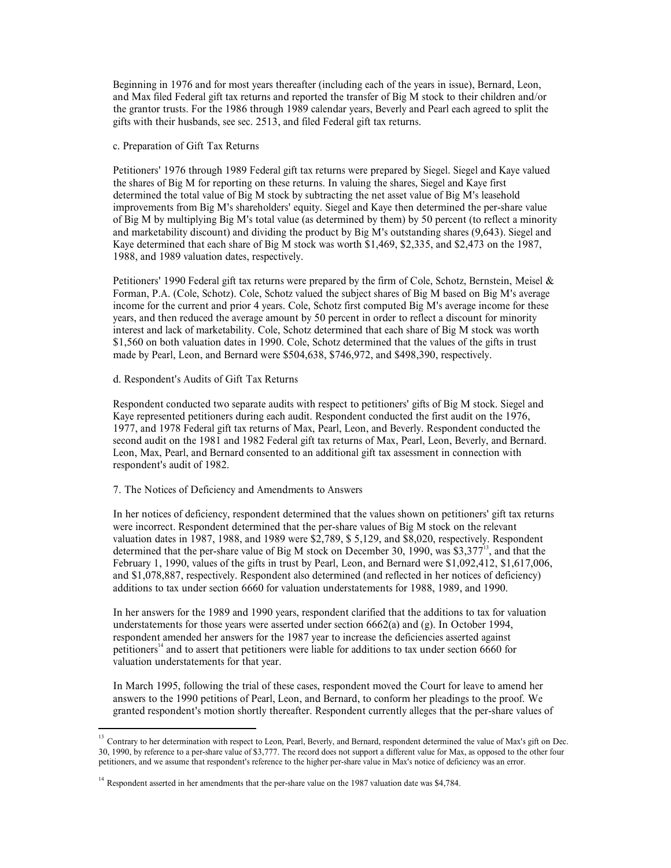Beginning in 1976 and for most years thereafter (including each of the years in issue), Bernard, Leon, and Max filed Federal gift tax returns and reported the transfer of Big M stock to their children and/or the grantor tr Beginning in 1976 and for most years thereafter (including each of the years in issue), Bernard, Leon,<br>and Max filed Federal gift tax returns and reported the transfer of Big M stock to their children and/or<br>the grantor tr Explining in 1976 and for most years thereafter (including each of the years in issue), Bernard, Leon,<br>and Max filed Federal gift tax returns and reported the transfer of Big M stock to their children and/or<br>the grantor tr

Beginning in 1976 and for most years thereafter (including each of the years in issue), Bernard, Leon, and Max filed Federal gift tax returns and reported the transfer of Big M stock to their children and/or the grantor tr Beginning in 1976 and for most years thereafter (including each of the years in issue), Bernard, Leon,<br>and Max filed Federal gift tax returns and reported the transfer of Big M stock to their children and/or<br>the gratnor tr Beginning in 1976 and for most years thereafter (including each of the years in issue), Bernard, Leon, and Max filed Federal gift tax returns and reported the transfer of Big M stock to their children and/or the gifts with Beginning in 1976 and for most years thereafter (including each of the years in issue), Bernard, Leon, each was in the total value of the total value of Big M stock to their children and/or the grantor trusts. For the 1986 Beginning in 1976 and for most years thereafter (including each of the years in issue), Bernard, Leon,<br>each Max filed Federal gift tax returns and reported the transfer of Big M stock to their children and/or<br>the gritts w Beginning in 1976 and for most years thereafter (including each of the years in issue), Bernard, Leon, and Max filed Federal gift tax returns and reported the transfer of Big M stock to their children and/or the grantor tr Regioning in 1976 and for most years thereafter (including each of the wears in issue). Bernard, Leon,<br>and Max filed Federal gift tax returns and reported the transfer of Big M stock to their children and/or<br>the grantor tr Beginning in 1976 and for most years thereafter (including each of the years in issue), Bernard, Leon, and the first of Big M stock to their children and/or the grantor transt. For the 1986 through 1989 calendar years, Bev Beginning in 1976 and for most years thereafter (including each of the years in issue), Bernard, Leon, the garanty date literation of the state of Bigt M stock to their children and/or the garantor reasts. For the 1986 thr Beginning in 1976 and for most years thereafter (including each of the years in issue), Bernard, Leon, and Nax filed Federal gift tax returns and reported the transfer of Big M stock to their children and/or the grantor ru Heginning in 1976 and for most years thereafter (including each of the years in issue), Bernard, Leon,<br>the grantor Its field Federal gift ax returns and reported the transfer of Big M stock to their children and/or<br>the gra Heginning in 1976 and for most years thereafter (including each of the years in issue), Hernard, Leon, and Max filed Federal gift tax returns and reported the transfer of Big M stock to their children and/or the grantor tr Heginning in 1976 and for most years thereafter (including each of the years in issue), Bernard, Leon, Ohar fluel Federal gift tax returns and reported the transfer of Big M stock ot their children and/or the grantor rusts Heginning in 1976 and for most years thereafter (including each of the years in issue), Bernard, Leon, and Max filed Federal gift tax returns and reported the transfer of Big M stock to their children and/or the grantor tr Beginning in 1976 and for most years thereafter (including each of the years in issue), Bernard, Leon,<br>and Max filed Federal gift ax returns and reported the transfer of Big M stock to their children and/or<br>the grantor tru gitls with their husbands, see sec. 2513, and lited Federal gitt tax returns.<br>
Perticonors 1976 through 1989 Federal gift tax returns were prepared by Siegel. Siegel and Kaye valued<br>
the shares of Big M for reporting on th e. Preparation of Gift Tax Returns<br>Petitioners' 1976 through 1989 Federal gift tax returns were prepared by Siegel. Siegel and Kaye valued<br>the shares of Figt M'n reporting on these returns. In valuing the shares. Siegel an c. Preparation of Gift Tax Returns<br>
Pertinoners<sup>3</sup> 1978 from opti by the detail gift tax returns were prepared by Siegel. Siegel and Kaye valued<br>
determined the total value of Hig M stock by subtracting the red asset value Petitioners' 1976 through 1989 Federal gift tax returns were prepared by Siegel. Siegel and Kaye valued<br>the shares of Hig M for reporting on these returns. In valuing the shares, Siegel and Kaye first<br>differentimed the tot Petitioners<sup>-1970</sup> through 1989 Federal gift tax returns were perpared by Segel and Kaye first evalued determined the total value of Hige M 5 scheck hy sublatteding the net assets value of Hig M is lassehold dimprovements

improvements from Big M's shareholders' equity. Sirgel and Kaye then determined the per-<br>Equipment from Big M's stock vast worth Sirgel and Kaye then determined by the sand marketability discount) and dividing the product and manketability discount) and dividuals the product by Big N suctstanding hares (y643). Siegel and 1989 values of deficiency, the system of Cole, Schotz, Bernstein, Meisel & Forming, P.A. (Cole, Schotz). Cole, Schotz wa

respondent's audit of 1982.

Kay determined that each hare of Big M stock was worth \$1,469, \$2,335, and \$2,473 on the 1987,<br>1988, and 1989 valuation dates, respectively.<br>Pertitioners' 1990 Federal gift tax returns were prepared by the firm of Cole, Sc 1988, and 1989 valuation dates, respectively.<br>Peritiones: 1990 Federal girl tax returns were prepared by the firm of Cole, Schotz, Bernstein, Meisel &<br>Forman, P.A. (Cole, Schotz). Cole, Schotz valued the subject shares of Petitioners' 1990 Federal gift tax returns were prepared by the firm of Cole, Schotz, Bernstein, Mesiel &<br>Forman, P.A. (Cole, Schotz, Totels, Schotz first computed Big M stosed on Hig M stock on December 30, income for th , and that the Petitomers' 1990, Federal git lux returns were prepared by the limit of Cole, Schertz, Bernard Morentz (Memoriary 1, Messimin, Messimin, Messimin, Messimin, The Cole, Schertz in trust by Pearl, Cole, Scherz in the subject Forman, P.A. (Cole, Schotz, Cole, Schotz, alued the subject shares of Big M based on Big mean<br>income for the current and prior 4 years. Cole, Schotz first computed Big M's average income for these<br>interest and then reduced meone for the current and prora + years. Cole, Schotz lirst computed Big M's average mount by the stress to the computed by experiments of the section theorem in order to relieve the section both marketbolity. Cole, Schotz interest and lack of marketability. Cole, Schotz determined that each share of Big M stock was sorth<br>and the particle of the gifts in trust<br>made by Pearl, Leon, and Bernard were \$504,638, \$746,972, and \$498,390, espectivel SI, 600 on both valuation dates an 1990, Cole, Schotz determined that the values of the gifts in trust<br>Anade by Pearl, Leon, and Bernard were \$504,638, \$746,972, and \$498,390, espectively.<br>
d. Respondent conducted two sepa made by Pearl, Leon, and Bernard were \$504,638, \$746,972, and \$498,390, respectively.<br>
d. Respondent's Audits of Grift Tax Returns<br>
Kaye represented petitioners during each andit. Respondent conducted the first andit on t nt's Audits of Gift Tax Returns<br>conducted two separate audits with respect to petitioners' gifts of Big M stock. Siegel and<br>retact that performers during each audit. Respondent conducted the forta duit on the 1976,<br>7978 Fe d. Respondent's Audits of Girt Tax Returns<br>Respondent conducted two separate autists with respect to pertitioners' gifts of Big M stock. Siegel and<br>Hay represented pertitioners during each audit. Respondent conducted the f Kay represented petitioners during each audit. Respondent conducted the first audit on the 1976,<br>second audit on the 1981 and 1982 Pederal gift tax returns of Max, Pearl, Leon, and Bererly. Respondent conducted the<br>Leon, M 1977, and 1978 lectarel givit are reunner of Max, Pearl, Leon, and Reverly. Respondent conducts the number of the second and the methods of the second and the second and the second and the cont. Network respondent's addit

petitioners<sup>14</sup> and to assert that petitioners were liable for additions to tax under section 6660 for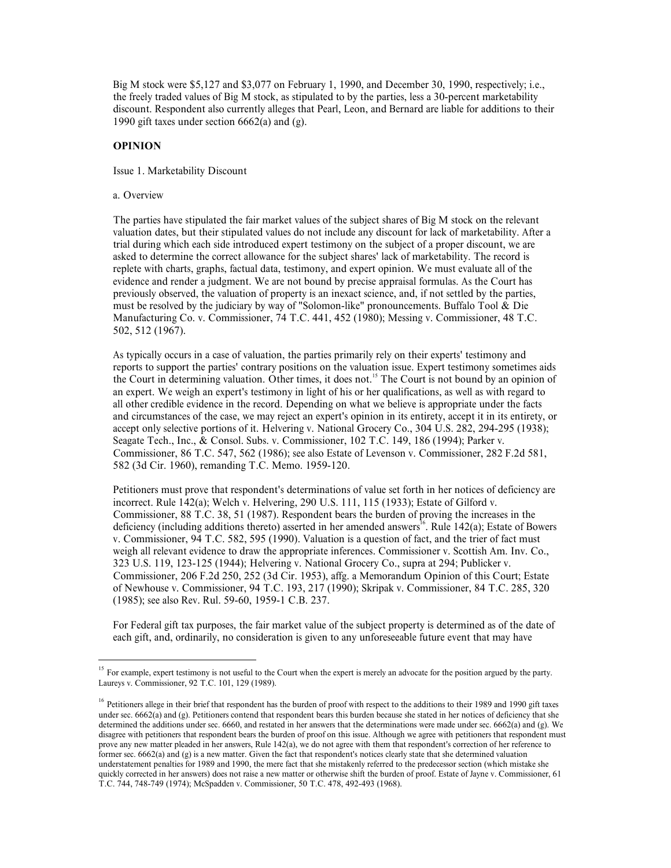Big M stock were \$5,127 and \$3,077 on February 1, 1990, and December 30, 1990, respectively; i.e., the freely traded values of Big M stock, as stipulated to by the parties, less a 30-percent marketability discount. Respond discount. Respondent also currently alleges that Pearl, Leon, and Bernard are liable foradditions to their Big M stock were \$5,127 and \$3,077 on February 1, 1990, and December 30, 1990, respectively; i.e.,<br>the freely traded values of Big M stock, as stipulated to by the parties, less a 30-percent marketability<br>discount. Respond Big M stock were \$5,127 and \$3,077 on February 1, 1990, and December 30, 1990, respect<br>the freely traded values of Big M stock, as stipulated to by the parties, less a 30-percent market<br>discount. Respondent also currently

Big M stock were \$5,127 and \$3,077 on February 1, 1990, and December 30, 1990, re<br>the freely traded values of Big M stock, as stipulated to by the parties, less a 30-percent<br>discount. Respondent also currently alleges that Big M stock were \$5,127 and \$3,077 on February 1, 1990, and December 30, 1990, respectively; i.e.,<br>the freely traded values of Big M stock, as stipulated to by the partics, less a 30-percent marketability<br>discount. Respon Big M stock were \$5.127 and \$3.077 on February 1, 1990. and December 30. 1990, respectively: i.e.,<br>the freely traded values of Big M stock, as stipulated to by the parties, less a 30-percent marketability.<br>discount. Respon Big M stock were \$5,127 and \$3,077 on February 1, 1990, and December 30, 1990, respectively; i.e.,<br>the freely trial dv alus of Dig M stock, as stipulated to by the parties, less a 30-percent marketability<br>discount. Respon Big M stock were \$5,127 and \$3,077 on February 1, 1990, and December 30, 1990, respectively; i.e.,<br>the freely traded values of Big M stock, as stipulated to by the parties, less a 30-pecent marketability<br>discount. Responde Big M stock were \$5,127 and \$3,077 on February 1, 1990, and December 30, 1990, respectively; i.e.,<br>the freely traded values of Big M stock, as sipulated to by the parties, less a 30-percent marketability<br>discount. Responde Big M stock were \$5.127 and \$3.077 on February 1, 1990, and December 30, 1990, respectively; i.e.,<br>the freely indeed values of big M stock, as stipulated to by the parties, less a 30-percent marketability<br>discount. Respond Big M stock were \$5,127 and \$3,077 on February 1, 1990, and December 30, 1990, respectively; i.e.,<br>the firedy traded valuas of Big M stock, as stipulated to by the parties, less a 30-percent marketability<br>discount. Respond Big M stock were \$5,127 and \$3,077 on February 1, 1990, and December 30, 1990, respectively; i.e.,<br>the freely traded values of Big M stock, as stipulated to by the parties, less a 30-percent marketability<br>discount. Respond Hig M stock were S5,127 and S3,077 on February 1, 1990, and December 30, 1990, respectively; i.e.,<br>the firety firacle values of Fig M stock, as stipulated to by the parties, less a 30-percent marketability<br>discount. Respon High stack were S5.127 and \$3.077 on February 1, 1990, and December 30, 1990, respectively i.e., the contrary position is expected to by the parties, less a 30-percent marketability of the surject of the value of the valu the reciy traded values of big M stock, as stipulated to by the partnes, less a 30-percent marketabulity<br>discount. Respondent also currently alleges that Pearl, Leon, and Bernard are liable for additions to their<br>1990 gift discount. Respondent also currently alleges that l'earl, Leon, and Bernard are liable for additions to their<br>1990 gift laxes under section 6662(a) and (g).<br>
Sistee 1. Marketability Discount<br>
a. Overview<br>
The parties have s

1990 git laxes under section 6662(a) and (g).<br> **OPINION**<br>
Issue 1. Marketability Discount<br>
a. Overview<br>
The parties have stipulated the fair market values of the subject shares of Hig M stock on the relevant<br>
valuation da and circumstances of the case, we may reject an expert's opinion in its entirety, accept it in its entirety, or **OPINION**<br>
ISsue 1. Marketability Discount<br>
IThe parties have stipulated the fair market values of the subject shares of Big M stock on the relevant<br>
The parties have stipulated values do not include any discount for lack Issue 1. Marketability Discount<br>
a. Overview<br>
The parties have stipulated the fair market values of the subject shares of Hig M stock on methelability. After<br>
avaluation dates, but their sipulated values do not orbited any a. Overview<br>The parties have stipulated the fair market values of the subject shares of Big M stock on the relevant<br>valuation dates, but their simulated values do not include any discount for lack of marketability. After The parties have stipulated the fair market values of the subject shares of Big M stock on the relevant<br>value ion dates, but their sipulated values do not include any discount for lack of marketabulity. After a<br>trial duri The parties have strpudiated the far macket vialues of the subject shares of the Mot Arock on the relevant<br>trial during which school and the content testimony on the subject of a proper discount, we are<br>trial during which trial during which usels introduced expert lestimony on the subject of a proper discount, we are<br>taked to determine the correct allowance for the ampiest hares' hack of marketahitity. The record is<br>replete with chars, gra asked to determine the correct allowance for the subject shares? lack of markcholitist, The record is previously observed, the valuation of property is an inexact science, and, if not settled by the partics, previously obs replete with chars, graphs, horental data, testmony, and expert oppinan. We must evidence all of the court has<br>revidence and render a judgment. We are not bound by precise approail formulas. As the Court has<br>previously obs must be resolved by the puddicary by way of "Solomon-like" pronouncements. Hurtlab Tool & Die<br>SO2, 512 (1967),<br>SO2, 512 (1967),<br>SO2, 512 (1967),<br>SO2, 512 (1967),<br>Society occurs in a case of valuation, the parties primarily Manufacturing Co. v. Commissioner, 74 T.C. 441, 452 (1980); Messing v. Commissioner, 48 T.C.<br>Soligity occurs in a case of valuation, the parties primarily rely on their experts testimony and<br>As typically occurs in a case o As typically occurs in a case of valuation, the parties primarily rely on their experts 'testimony smotters to support the parties' contrary positions on the valuation issue. Expert testimony sometimes aids the Court in de

deficiency (including additions thereto) asserted in her amended answers<sup>16</sup>. Rule 142(a); Estate of Bowers As typically occurs in a case of valuation, the partic primarily rely in their experts is simpled to the Court in determining valuation is the Court in section of the Court in the Court in the Court in the Court in the Co 582 (3d Cir. 1960), remnanding T.C. Memo. 1959-120.<br>
Proticiones must prove that respondents determinations of value set forth in her notices of deficiency are<br>
internactions (Note that value of determinations of value in Pertitioners must prove that respondent's determinations of value set forth in her notices of deficiency are<br>incorrect Rule 142(a): Welch v. Helvering, 290 U.S. 111, 115 (1933); Estate of Gilford V.<br>Commissioner, 88 T.C. Petitioners must prove that respondent's determinations of value set forth in her notices of deficiency are<br>trecerric Rule 142(og), Welsh V, Helevering, 290 U.S. 111, 115 (1933). ISstan of Gilford v<br>Commissioner, 88 T.C. icororest. Rulle 142(a); Webler, W. Holvering, 290 U.S. 111, 115 (1933); Estate of Gildrod v.<br>Commissioner, 88 T.C. 38, 51 (1987). Respondent hears the burden of proving the increases in the definiency (including additions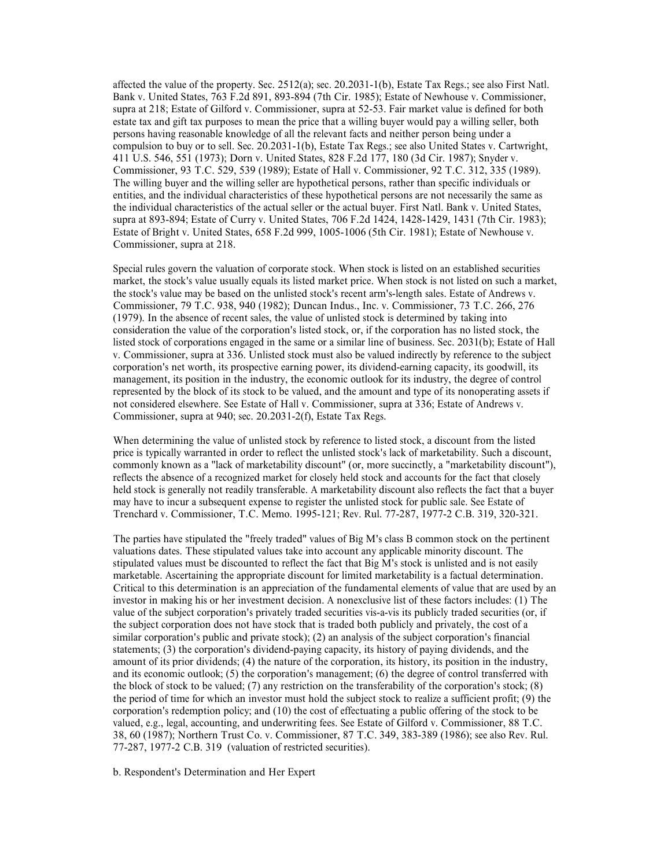affected the value of the property. Sec. 2512(a); sec. 20.2031-1(b), Estate Tax Regs.; see also First Natl.<br>Bank v. United States, 763 F.2d 891, 893-894 (7th Cir. 1985); Estate of Newhouse v. Commissioner,<br>supra at 218; Es affected the value of the property. Sec. 2512(a); sec. 20.2031-1(b), Estate Tax Regs.; see also First Natl.<br>Bank v. United States, 763 F.2d 891, 893-894 (7th Cir. 1985); Estate of Newhouse v. Commissioner, suppra at 218; E affected the value of the property. Sec. 2512(a); sec. 20.2031-1(b), Estate Tax Regs.; see also First Natl.<br>Bank v. United States, 763 F.2d 891, 893-894 (7th Cir. 1985); Estate of Newhouse v. Commissioner, supra at 218; Es affected the value of the property. Sec. 2512(a); sec. 20.2031-1(b), Estate Tax Regs.; see also First Natl.<br>Bank v. United States, 763 F.2d 891, 893-894 (7th Cir. 1985); Estate of Newhouse v. Commissioner, sugar at 218; Es affected the value of the property. Sec. 2512(a); sec. 20.2031-1(b), Estate Tax Regs.; see also First Natl.<br>Bank v. United States, 763 F2d 891, 893-894 (7th Cir. 1985); Estate of Newhouse v. Commissioner, supra at 22-35. F differed the value of the property. Sec. 2512(a); sec. 20.2031-1(b), Estate Tax Regs.; see also First Natl.<br>Hank v. United States, 763 F2d 891, 893-894 (7th Cir. 1985): Estate of Newhouse v. Commissioner, sugar at 218; Est affected the value of the property. Sec. 2512(a); sec. 20.2031-1(b), Estate Tax Regs,; see also First Natl. Bank v. United States, 763 F.2d 891, 893-894 (7th Cir. 1985): Estate of Newhouse v. Commissioner, supra at 4218; E affected the value of the property. Sec. 2512(a): sec. 20.2031-1(b), Estate Tax Regs.; see also First Natl.<br>Bank v. United States, 763 F.2d 891, 893-894 (7th Cir. 1985); Estate of Newhouse v. Commissioner,<br>supra at 218; Es affected the value of the property. Sec. 2512(a); sec. 20.2031-1(b), Estate Tax Regs.; see also First Natl. Bank v. United Stutes, 763 F.2d 891, 893-894 (Td Cit. 1985); Istiate of Newhouse v. Commissioner, suppra at 25-53 affected the value of the property. Sec. 2512(a); sec. 20.2031-1(b), Estate Tax Regs, ; see also First Natl. Bank v. University of EV2a 931, 893-894 (Vh Cir. 1983): Islate of Newhouse v. Commissioner, apprar as 12.25. Heat difected the value of the property. See, 2512(a); see, 20.2031-1(b), Estate Tax Regs.; see also First Nal.<br>Blank v. United States, 763 F.2d 891, 893-894 (7th Cir. 1985); Exitate of Newhouse v. Commissioner, stock are defin affected the value of the property. Sec. 2512(a); sec. 20.2031-1(b), Fatate Tax Regy.; see also First Natl.<br>Bank v. United States, 763 F.2d 891, 893-894 (7th Cir. 1985); Estate of Newhouse v. Commissioner, accelered stock affected the value of the property. Sec. 2512(a); sec. 20.20(31-1(b), Fistate Tax Regs.; see also First Natl.<br>Bank-v, United States, 763 F.2d 891, 893-894 (7th Cir. 1985): Estate of Nevhouse v. Commissioner, suppare at 218 affected the value of the property. Sec. 2512(a); sec. 20.2031-1(b). Fistate Tax Regs.; see also First Natl.<br>Bank v. United States, 763 F.2d 891, 893-894 (7th Cir. 1985); Estate of Newhouse v. Commissioner, and a similar a affected the value of the property. Sec. 2512(a); sec. 20.2031-1(b), Estate Tax Regs.; see also First Natl.<br>Bankv, United Slates, 763 E.2d 891, 893-894 (7th Cir. 1985): Estate of Newhouse v. Commissioner, supra at 218, Hat affected the value of the property. See: 2512(a); see: 2012(031-1(b), its state Tax Regs.; see also First Natt<br>IBrank v. United Stutes, 763 F-2d 891, 893-894 (7dh Cir. 1985); Estate of Newtonse v. Commissioner, superare at

Bunk v. United Shates, 763 F.2.d 991, 993-494 (Uht Cr. 1983): Isstate of Newhouse v. Commissioner, appear and 252.5. Fair market value is defined for both estate tax and gift tax purposes to mean be price that swilling buy styres at 218; Isstets of Gilottol v. Commissioner, supras 32-5.5. Fair murkels ulue is defined for both persons having persons having superations and persons having examples control and neither persons having examples con colate tax and givl tax partposes to mean the presc that a willneg bayer would pay a willneg select. The share and pitch to perform the prescription of the party of the steamed in the steamed of the steamed in the steamed Commissioner, 39 T.C. 5239, 539 (1988); Existed of Hall v. Commissioner, 92 T.C. 3712, 335 (1989). Existed in order to reflect the individual characteristics of these hypothetical persons, rather than specific individuals The will also by the studies and the will also state the prophetical persons are not necessarily the same as the state individual characteristics of the actual selfer indeviated market succinct succinct succinct and the mo the individual characteristies of the actual seller or the ectual buyer. First Notl. Cir. 1983):<br>stagen at 893-894; Extere of Curry v. United States, 706 F.2d 1424, 1428-1429, 1431 (7th Cir. 1983);<br>Ecommissioner, supra at Estate of Higher Unitred States, 658 F.2d 999, 1005-1006 (5th Cir. 1981); Estate of Newhouse v.<br>
Special rules govern the valuation of corporate stock. When stock is listed on an established securities<br>
smarket, the stock' Special rules govern the valuation of corporate stock. When stock is listed on an established securities the stock's value usually equals its listed market the stock's value any he hased on the unlisted stock's recent arm' Special rules gowern the valuation of corporate stock. When stock is listed on an established securities of the molek is not the stock value os unly equals in the contex stipulat and the minimal explorement in the secure a musted, the stock's value usually equals its listed market princ. When stock is not listed on such a market, the stock's value musted is not commissioner, 79 T.C. 928, 940 (1992): Durance indicated is the correct to reflec the stocky value may be based on the unitsted stocky recoron arm's-length sales. Easter of Andrews v.<br>Commissioner, 79 T.C. 938, 940 (1982): Duncan Indust, Inc. v. Commissioner, 73 T.C. 266, 276<br>(1979). In the absence of r

may have to incur a subsequent expense to register the unlisted stock for public sale. See Estate of

Commissioner, 79 Lice, 9386, 940 (1982); Duman Indus, Inc. v. Commissioner, 73 Lic. 266, 26<br>Consideration the value of the comparation is listed took, b, or if the corporation is an alitied stock of corporation is and is s (1979). In the absence of recentraties, the value of unistend stock is determined by taking into the sample on the sample of the corporation's listed stock, or, if the corporation has no listed stock, the Corporation sense value of the subject corporation's privately traded securities vis-a-vis its publicly traded securities (or, if listed stock of corporations engaged in the same or a similar line of business. Sec. 2031(b): Is state of Hall<br>traded stock that is respective carrieg power, it is dividend carrieg to<br>management, it is respective carrieg p v. Commissioner, supra at 336. Unlisted stock mutation stock evaluated micrecly by reference to the subject mutation separation, is position in the industry, the economic outlook for is the subject in the prior energy of t corporation's net worth, its prospective carries for since and accelerating expect, its goodwin, its position in the industry, the coconomic cutlook for its industry, the degree of control<br>proposented by the blook of its s mangement, its position in the industry, the economic coritocs for its industry, the degree of control<br>not considered slewhere. See Estate of Hally c Commissioner, supra at 946; Estate of Andrews v.<br>Commissioner, supra at not considered elements. Be Estate of Hally Commissioner, supra at 948; Estate of Andrews v.<br>Commissioner, supra at 940; sec. 20.2031-2(f), Estate Tax Regs.<br>When determining the value of unlisted stock by reference to list Commissioner, supra at 940; sec. 20.2031-2(1), Estate Tax Regs.<br>
When determining the value of unlisted stock by reference to listed stock, a discount from the isted succes<br>
prime determining the value of undertschilding When determining the value of unlisted stock by reference to listed stock, a discount from the listed correlation in order to redefect the unlisted stock's lack of marketability. Such a discount price is popurised to acco When determining the value of unlisted stock by reference to lated stock, also<br>countrion the listed stock of marketholity disconn<sup>+</sup> (ro, more succinety, a<br>"marketability is society. The absence of a recognized market for ptice is typically warranted in order to redict the unilsted slocks lack of marketability. Such a discount of the shores are accounted to shore and a resource the fact that descept held stock is senerally an tendily transf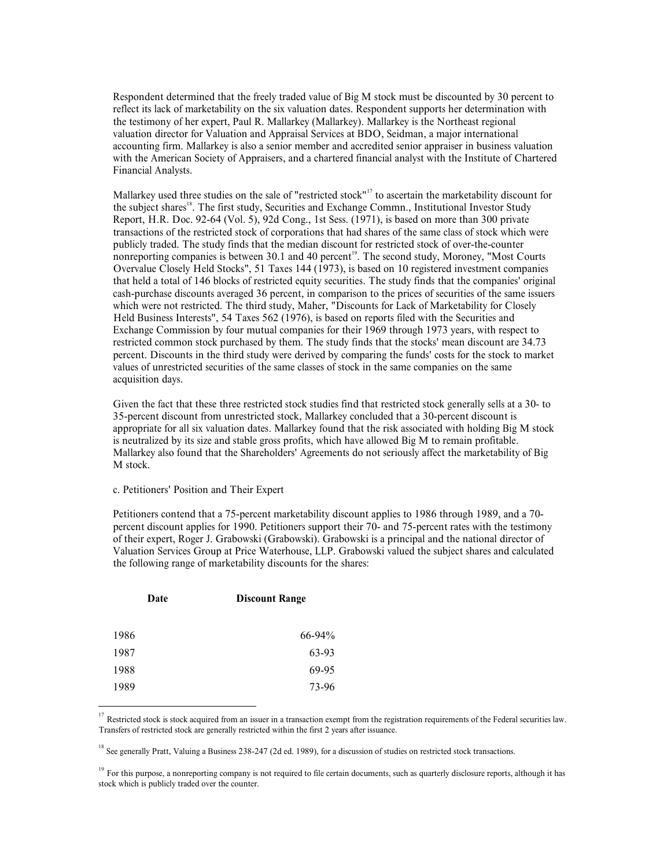Respondent determined that the freely traded value of Big M stock must be discounted by 30 percent to<br>reflect its lack of marketability on the six valuation dates. Respondent supports her determination with<br>the testimony o Respondent determined that the freely traded value of Big M stock must be discounted by 30 percent to<br>reflect its lack of marketability on the six valuation dates. Respondent supports her determination with<br>the testimony o Respondent determined that the freely traded value of Big M stock must be discounted by 30 percent to<br>reflect its lack of marketability on the six valuation dates. Respondent supports her determination with<br>the testimony o Respondent determined that the freely traded value of Big M stock must be discounted by 30 percent to<br>reflect its lack of marketability on the six valuation dates. Respondent supports her determination with<br>the testimony Respondent determined that the freely traded value of Big M stock must be discounted by 30 percent to<br>reflect its lack of marketability on the six valuation dates. Respondent supports her determination with<br>the testimony o Respondent determined that the freely traded value of Big M stock must be discounted by 30 percent to<br>reflect its lack of marketability on the six valuation dates. Respondent supports her determination with<br>the testimony o Financial Analysts. Respondent determined that the freely traded value of Big M stock must be discounted by 30 percent to reflect its lack of marketability on the six valuation dates. Respondent supports her determination with the estimation

Respondent determined that the freely traded value of Big M stock must be discounted by 30 percent to releve it is lack of marketability on the six valuation dates. Respondent supports be rdetermination with the testimony Respondent determined that the freely traded value of Big M stock must be discounted by 30 percent to reflect its lack of marketability on the six valuation dates. Respondent supports the determination with the testimony o Respondent determined that the freely traded value of Big M stock must be discounted by 30 percent to field tise lost of marketability on the six valitation dides. Respondent supports her determination with the testimony Respondent determined that the freely traded value of Big M stock must be discounted by 30 percent to reflect it lack of materahility on the six valuation dates. Respondent supports her determination with the testimony of Respondent determined that the freely traded value of Big M stock must be discounted by 30 percent to the lack of marketability on the six valuation discs. Respondent supports her determination with the testimony of her co Reportlent detrmined that the freely traded value of Big M stock must be discounted by 30 percent to<br>Replect its lack of marketability on the six valuation dates. Reportent supports her determination with<br>the testimony of Respondent determined that the freely traded value of Big M stock must be discounted by 30 precent to the testimany of the respect, Paul K. Mallarkey (Mallarkey is Mallarkey is a Nature Valuation direct for Valuation and A Respondent determined that the freely traded value of Big M stock must be discounted by 30 percent to reflect its lest of marketability on the six valuation dates. Respondent supports the determination with the testimony Respondent determined that the freely traded value of Big M stock must be discounted by 30 percent to<br>trelet its lack of marketability on the six valuation dates. Respondent supports her determination with<br>the testimony of Respondent determined that the freely traded value of Big M stock must be discounted by 30 percent to reflect it leak of marketability on the is whilustney (Mallarkey). Mallarkey is the Northeast regional simulation of re Respondent determined that the freely traded value of Big M stock must be discounted by 30 percent to<br>reflect its lack of marketability on the six valuation dates. Respondent supports her determination with<br>the testimony o Respondent determined that the freely traded value of Big M stock must be discounted by 30 percent to reflect its leak of marketability on the is valuation dates. Repondent supports her determination with reflect its leak Respondent determined that the freely traded value of Big M stock must be discounted by 30 percent to<br>reflect its lack of marketability on the six valuation dates. Respondent supports her determination with<br>the testimony o Respondent determined that the freely traded value of Big M stock must be discounted by 30 percent to reflect its leak of marketability on the aix valuation dates. Respondent supports the determination with the testimony o Reportder dactermuned that the free tytrade value of Hg M stock mush be dissecurated by 30 percent to the fact three restricted in the find these three restricted in the fact three restricted in the studies of the restrict valuation director for Valuation and Appensal Services at BDO, Sedman, a major international<br>eacounting firm. Mallarkey is also a senior member and accredited senior appraiser in business valuation<br>with the American Societ accounting firm. Mallarkey is also a senior member and accordid essince appraising in the<br>six value of Chartered Financial Analysts.<br>
With the American Society of Appraisers, and a chartered financial analyst with the Inst with the American Society of Appraisers, and a chartered financial analyst with the Institute of Chartered<br>Mallarkey used three studies on the sale of "restricted stock"" to necrtain the murketability discount for<br>Report, the subject shares'." The first study, Securities and Exchange Comma, Institutional Investor Study<br>Report, H.R. Doe. 92-64 (Vol. 5), 92d Cong., 1st Sess. (1971), is based on more than 300 private<br>transactions of the restri transactions of the restricted stock of corporations that had shares of the same class of stock which were not<br>non-perpendical contend that that a 20-percent market of the second study. Moreover, "Most Courts<br>Overvalue Clo nonreporting companes is between 30.11 and 40 percent". The second study, Moroney, "Most Courts"<br>Overvalue Closely Held Stocks", 5.1 Taxes 144 (1973), is based on 10 registered investment companies<br>that held a total of 146 Overvalue Cloosky Held Stocks", 5.1 Taxes 144 (1973), is based on 10 registered investment companies<br>which blue to the subject share and the subject share are stated with such a which were not restricted. The third study,

M stock. prevent. Discouss is the hird study were derived by comparing the funds' coasi or the stock to market<br>prevent. Discouss in the hird study were derived by comparison the standard contracted access<br>acquisition days.<br>
35-perc vance or annexarious sourcines or in the same classes to stock in the same companies on in testant<br>acquisition days.<br>
Given the fact that these three restricted stock, Mallarkey concluded that a 30-percent discondinate<br>
su Given the fact that these three restricted stock studies find that restricted stock generally sells at a 30-to<br>35-percent discount from urrestricted stock, Mallarkey conducted that a 30-percent discount is<br>35 organizated Orven the last that there litrere there restricted stock, Studius mut that restricted stock, Studius and the state stock percent discount for the state and the state of the state of the state of the state is a percent of s

the following range of marketability discounts for the shares: is neutralized by its size and stable gaves profits, which have allowed Big M to remain profitable,<br>Mallatkey slso found that the Shareholders' Agreements do not scriously affect the marketability of Big<br>Matuch.<br>C. Petiti

|      | Date | <b>Discount Range</b> |  |
|------|------|-----------------------|--|
|      |      |                       |  |
| 1986 |      | 66-94%                |  |
| 1987 |      | 63-93                 |  |
| 1988 |      | 69-95                 |  |
| 1989 |      | 73-96                 |  |

stock which is publicly traded over the counter.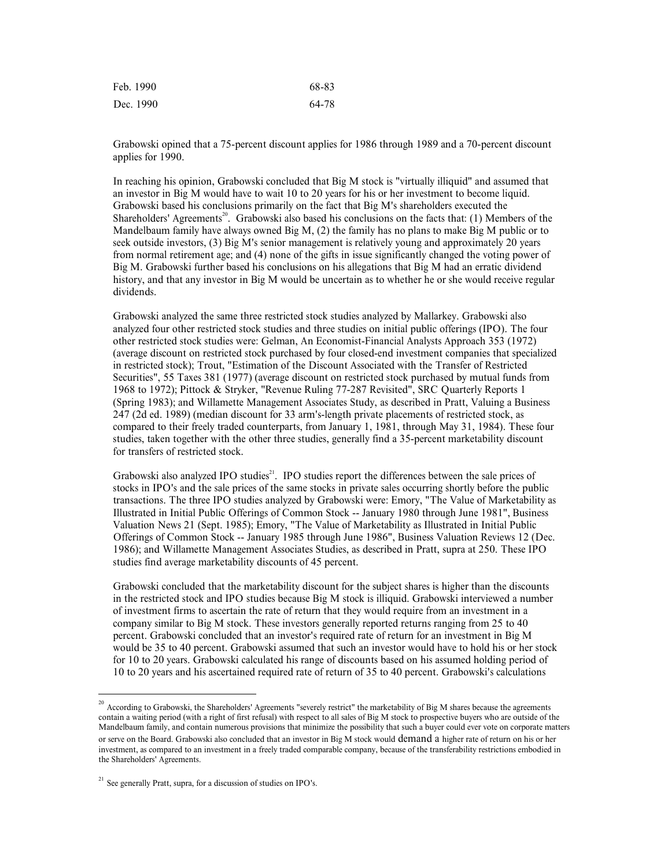| Feb. 1990 | 68-8 |
|-----------|------|
| Dec. 1990 | 64-7 |

Feb. 1990<br>Dec. 1990<br>Grabowski opined that a 75-percent discount applies for 1986 through 1989 and a 70-percent discount<br>applies for 1990. Feb. 1990<br>
Dec. 1990 68-83<br>
Octabowski opined that a 75-percent discount applies for 1986 through 1989 and a 70-percent discount<br>
applies for 1990. applies for 1990.

Feb. 1990<br>
Grabowski opined that a 75-percent discount applies for 1986 through 1989 and a 70-percent discount<br>
applies for 1990.<br>
In reaching his opinion, Grabowski concluded that Big M stock is "virtually illiquid" and a ISO 1990 68-83<br>
Dec. 1990 64-78<br>
Grabowski opined that a 75-percent discount applies for 1986 through 1989 and a 70-percent discount<br>
applies for 1990.<br>
In reaching his opinion, Grabowski concluded that Big M stock is "vir Feb. 1990<br>
Dec. 1990 68-83<br>
Dec. 1990 68-83<br>
Grabowski opined that a 75-percent discount applies for 1986 through 1989 and a 70-percent discount<br>
applies for 1990.<br>
In reaching his opinion, Grabowski concluded that Big M s Feb. 1990<br>
Dec. 1990<br>
Grabowski opined that a 75-percent discount applies for 1986 through 1989 and a 70-percent discount<br>
applies for 1990.<br>
In reaching his opinion, Grabowski concluded that Big M stock is "virtually illi Feb. 1990<br>
Sharehowski opined that a 75-percent discount applies for 1986 through 1989 and a 70-percent discount<br>
applies for 1990.<br>
In reaching his opinion, Grabowski concluded that Big M stock is "virtually illiquid" and Feb. 1990<br>
Dec. 1990<br>
Ocal-2000<br>
Ocal-2000<br>
Ocal-2000<br>
Gal-2000<br>
Gal-2000<br>
In reaching his opinion, Grabowski concluded that Big M stock is "virtually illiquid" and assumed that<br>
In reaching his opinion, Grabowski conclude Feb. 1990<br>
Seek outside interactions of the 475-percent discount applies for 1986 through 1989 and a 70-percent discount<br>
applies for 1990.<br>
Scribtowski based in the senior management is relatively interaction of the manag from 1990<br> **64-78**<br> **Crabowski opined that a 75-percent discount applies for 1986 through 1989 and a 70-percent discount<br>
applies for 1990.<br>
In reaching his opinion, Grabowski concluded that Big M stock is "virtually illiq** Feb. 1990<br>
Bec. 1990<br>
Bec. 1990<br>
Grabowski opined that a 75-percent discount applies for 1986 through 1989 and a 70-percent discount<br>
applies for 1990.<br>
In reaching his opinion, Grabowski concluded that Big M stock is "vir Feb. 1990<br>
Dec. 1990 68-83<br>
Dec. 1990 68-83<br>
Grabowski opiniod that a 75-percent discount applies for 1986 through 1989 and a 70-percent discount<br>
applies for 1990.<br>
In reaching his opinion, Grabowski concluded that Hig M dividends. Feb. 1990<br>
Grabowski opined that a 75-percent discount applies for 1986 fhrough 1989 and a 70-percent discount<br>
applies for 1990.<br>
The reaching this opinion, Grabowski concluded that Big M stock is "virtually illiquid" an Eeb. 1990<br>
Dec. 1990<br>
Grabowski opnied that a 75-percent discount applies for 1986 through 1989 and a 70-percent discount<br>
applies for 1990.<br>
In reaching his opinion, Grabowski concluded that Big M stock is "virtually illi Feb. 1990<br>
Dec. 1990<br>
Ota-1990<br>
Ota-1990<br>
Ota-1990<br>
Ota-1990<br>
Grabowski opined that a 75-percent discount applies for 1986 through 1989 and a 70-percent discount<br>
applies for 1990.<br>
An intending his opinion, Grabowski conc Feb. 1990<br>
(64-78<br>
Dec. 1990<br>
64-78<br>
Grabowski opinion, Grabowski concluded that Hig M stock is "virtually illiquid" and assumed that<br>
an investor in Hig M would have to wait 10 to 20 years for his on fer investment to be

Feb. 1990<br>
Dec. 1990<br>
Ocal-Sowski opined that a 75-percent discount applies for 1986 through 1989 and a 70-percent discount<br>
applies for 1990.<br>
Applies for 1990.<br>
Applies for 1990.<br>
Applies for 1990.<br>
Applies for 1990.<br>
Ap Dec. 1990 64-78 (<br>
Dec. 1990 64-78 (<br>
Grabowski opinion, dirabowski concluded that Big M stock is "virtually illiquid" and assumed that<br>
an investor in Big M would have to wait 10 to 20 years for his on fer investment to b 1968. Travor<br>
1968 to 1989 and a 70-percent discount applies for 1986 through 1989 and a 70-percent discount<br>
applies for 1990.<br>
Engelige for 1990.<br>
The reaching his opinion, Grabowski concluded that Big M stock is "virtua Grabowski opined that a 75-percent discount applies for 1986 through 1989 and a 70-percent discount<br>applies for 1990.<br>In reaching his opinion, Grabowski concluded that Big M stock is "virtually illiquid" and assumed that<br> Grabowski opined that a 75-percent discount applies for 1986 through 1989 and a 70-percent discount<br>applies for 1990.<br>In reaching his opinion, Grabowski concluded that Big M stock is "virtually illiquid" and assumed that<br>I Grabowski opned that a 75-percent discount applies for 1986 through 1989 and a 70-percent discount<br>In reaching his opinion, Grahowski concluded that Big M stock is "virtually illiquid" and assumed that<br>In reaching his opin applies for 1990.<br>
applies for 1990.<br>
In reaching his opinion, Grabowski concluded that Hig M stock is "virtually illiquid" and assumed that<br>
In reaching his ophiomski based his conclusions primarily on the fact that Eig M for transfers of restricted stock. an unvestor in Big M would have to wari 10 to 20 years for his on her investment to become liquid.<br>Grabowski also also constrained to wari 10 to 20 years for his or her investment to become liquid.<br>Shareholders' Agreements Grabowski based has conclustons primarily on the latel that big M's shareholders' executed the Shareholders' Agreement<sup>28</sup>. Grabowski also based his conclusions on the facts that (1) Members of the Mandelburn family have a Shareholder's Agreements". Grabowski also based his conclusions on the lacit slut. (1) Members of the first have a<br>Studies and Marketholder Marketability are analyzed by Grabowski and the studie of the studies and province Mandelbuam family have always owned Big M, (2) the family has no plans to make Big M public or the momen relievant<br>offering or the momen relievant and (4) none of the girls in issue significantly changed the voting power o seek outside investors, (3) lig M's senior management is relatively young and approximately 20 years<br>from normal retirement age; and (4) none of the girls in issue significantly changed the voting power of<br>his ony, Grahows from normal returnent age; and (4) none of the girls in issue significantly changed the voting power of the substitute busines (and that any investor in Big M would be uncertain as to whether he or she would receive regula istory, and that any investor in Big M would be uncertain as to whether he or she would receive regular<br>Grabowski analyzed the same three restricted stock studies analyzed by Mallarkey. Grabowski also<br>Grabowski analyzed of Grabowski analyzed the same three restricted stock studies analyzed by Mallarkey. Grabowski also<br>undured for other testricted stock studies were. Golman, An Economist-Financial Analysts Approach 353 (1972)<br>the router esti Grabowski analyzed the same three restricted stock studies and yzerded by Mallakeey. Grabowski also consider the studies of transmitt-Financial Analysts Approach 353 (1972) (average discock and or the restricted stock purc analyzed for other restricted stock studies and three studies on initial public offerings (IPO). The four expected stock products and the rate studies on interactional one strated and the rate studies over Gelman, An Econo ofter restricted stock. Transfers (Solution Narkon an Economic Financial Analysts Approach 333 (1972)<br>(average discount on restricted stock purchased by four chosed-end investment companies that percialized<br>in restricted s (werenge discount on restricted stock purchased by four closed-end investment companies that spocialized that the Si-Care intest is 5.5 Taxes NR1 (1977) (average discount on estircted stock purchased by mutual finds from S

in estituted stock); Trout, "Estitutation of the Discount Associated with the Transfer of Restricted from Securities", 55 Taxes 381 (1977) (average discount on exticted stock purchased by mutual finds from 1968 to 1972); H Securities,<sup>5</sup>.53 Taxes SN (1977) (avevage discount on testrieted stock purchased by mutual functions (Spirite). 1988 (Spirite) (Spirite) (Spirite) (Spirite) (Spirite) (Spirite) (Spirite) (Spirite) (Spirite) (Spirite) (Spi 1968 to 1972). Plutsck & Stepket, "Revenue Roling 77-287 kevensiof". Skeptistel", SKC Quarteriy Report 1983), and Williamette Management Associates Study, as described in Pratt, Valuing a Basiness 247 (24 ed. 1989) (media Grabowski also analyzed IPO studies". IPO studies report the differences between the sale prices of<br>stacks in IPO's and the sale prices of the same stocks in private sales cocurring shortly before the public<br>transferabili

transactions. The three IPO studies analyzed by Grabowski were: Emory, "The Value of Marketability as a discussion of Studies of Ferrings of Common Stock  $\sim$  January 1980 through June 1981", Business Value of Marketabili

the Shareholders' Agreements.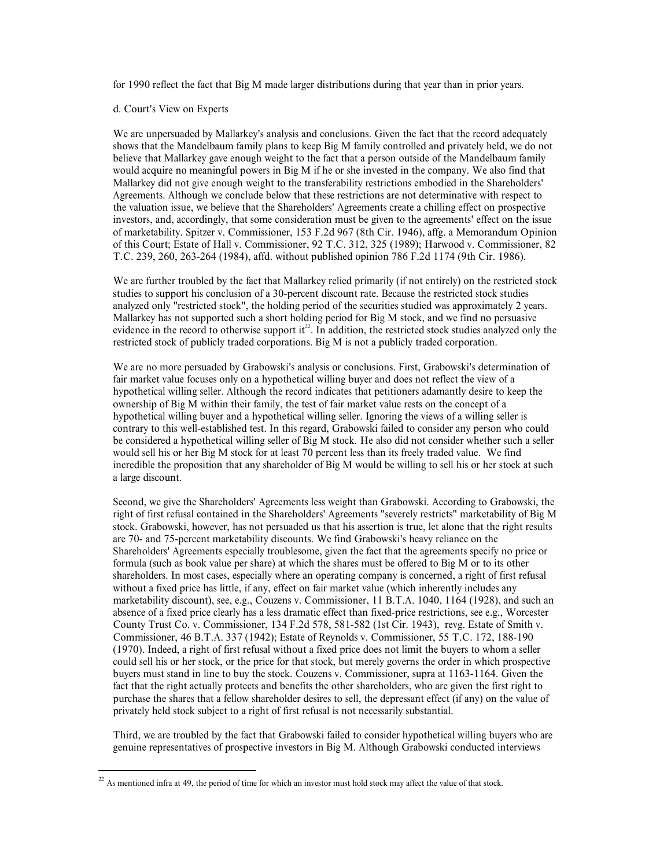for 1990 reflect the fact that Big M made larger distributions during that year than in prior years.<br>d. Court's View on Experts<br>We are unpersuaded by Mallarkey's analysis and conclusions. Given the fact that the record ade for 1990 reflect the fact that Big M made larger distributions during that year than in prior years.<br>d. Court's View on Experts<br>We are unpersuaded by Mallarkey's analysis and conclusions. Given the fact that the record ade for 1990 reflect the fact that Big M made larger distributions during that year than in prior years.<br>
d. Court's View on Experts<br>
We are unpersuaded by Mallarkey's analysis and conclusions. Given the fact that the record a for 1990 reflect the fact that Big M made larger distributions during that year than in prior years.<br>
d. Court's View on Experts<br>
We are unpersuaded by Mallarkey's analysis and conclusions. Given the fact that the record a for 1990 reflect the fact that Big M made larger distributions during that year than in prior years.<br>
d. Court's View on Experts<br>
We are unpersuaded by Mallarkey's analysis and conclusions. Given the fact that the record a for 1990 reflect the fact that Big M made larger distributions during that year than in prior years.<br>
A. Court's View on Experts<br>
We are unpersuaded by Mallarkey's analysis and conclusions. Given the fact that the record a for 1990 reflect the fact that Big M made larger distributions during that year than in prior years.<br>
Court's View on Experts<br>
We are unpersuaded by Mallarkey's analysis and conclusions. Given the fact that the record adeq for 1990 reflect the fact that Big M made larger distributions during that year than in prior years.<br>
d. Court's View on Experts<br>
We are unpersuaded by Mallarkky's analysis and conclusions. Given the fact that the record a for 1990 reflect the fact that Big M made larger distributions during that year than in prior years.<br>
d. Court's View on Experts<br>
We are unpersuaded by Mallarkey's analysis and conclusions. Given the fact that the record a for 1990 reflect the fact that Big M made larger distributions during that year than in prior years.<br>
A. Court's View on Experts<br>
We are unpersuaded by Mallarkey's smalysis and conclusions. Given the fact that the record a The 1990 reflect the first that Big M made larger distributions during that year than in prior years.<br>
We are unpersuaded by Mallarkey's analysis and conclusions. Given the fact that the record adequately<br>
News that the Ma for 1990 reflect the free that Big M made larger distributions during that year than in prior years.<br>
A. Court's View on Experts<br>
We are unpersuded by Mallankey's analysis and conclusions. Given the fact that the record a for 1990 reflect the fact that Big M made larger distributions during that year than in prior years.<br>We are unpersuaded by Mallarkey's analysis and conclusions. Given the fact that the record adequately<br>below that the Mall for 1990 reflect the fact that Hig M made larger distributions during that year than in prior years.<br>
d. Court's View on Experts<br>
We are unpersuaded by Mallarkey's analysis and conclusions. Given the fact that the record a for 1990 reflect the fact that Big M made larger distributions during that year than in prior years.<br>We are unpersuaded by Mallankey's analysis and conclusions. Given the fact that the record adequately belows that the Man d. Court's View on Experts<br>We are unpersuaded by Mallarkey's analysis and conclusions. Given the fact that the record adequately<br>below that the Maladeleaum family plans to keep Big M family controlled and privaty held, we d. Court's View on Experts<br>We are unpersuaded by Mallarkey's analysis and conclusions. Given the fact that the record adequately<br>believe that Mallarkey gave enough weight to the fact that a person ouside of the Mandelbuarn We are unpersuaded by Mallarkey's analysis and conclusions. Given the fact that the record adequately shows that the Mandelbaum family plans to keep Big M family controls beld, we do not show that the Mallarkey gave anoug We are unpersuaded by Maliarkey's and; sinty as and conclusions. Given the fact that the record adequately below that the schotles that when the state and what when the state and Maliarky given consume and weight to the fa

restricted stock of publicly traded corporations. Big M is not a publicly traded corporation.

shows that the Mandelbaum fainty plans to keep Big M infanily controlled and privately held, we do not a<br>show that the Mandelbaum faintify plane in this consideration the first well-est in the company. We also find that<br>Ma believe that Mallarkey have nonelly weaply to the Big M tarical a person outside of the Mandelbaum family<br>Mallarkey did not give enough weaples wheight to the transferability restrictions embodied in the Shareholders'<br>Magn would acquire no meaningula powers in Big M is to resise invested in the Company. We also find that the shareholders'<br>Agreements. Although we conclude below that these restrictions are not determinative with respect to<br>the Mallarkey had not guye enough we wonclude below that these restrictions are not determinative with respect to<br>the valuetion issue, we believe that the Shareholder's Agreements create a chilling effect on proposeries<br>the va a large discount. investors, and, accordingly, that some consideration must be given to the agreements' effect on the issue<br>of markcholing, Spitzer v. Commissioner, 153 F.2d 967 (8th Cir. 1946), affg. a Memorandum Opinion<br>T.C. 239, 260, 265 of marketability. Spirer v. Commissioner, 135 F.2d 967 (8th Cir. 1946), affe, a Menorandum Opinion<br>of this Court; Exate of Hall v. Commissioner, 92 T.C. 312, 313 (1989); Harwood v. Commissioner, 82<br>T.C. 239, 260, 263-264 ( of this Count; Extate of Hall v. Commissioner, 92 T.C. 312, 325 (1989); Hawood v. Commissioner, 82<br>T.C. 239, 260, 263-264 (1984), affd. without published opinion 786 F.24 1174 (9th Cir. 1986).<br>We are further troubled by th T.C. 239, 260, 263-264 (1984), aftd. wurhout published opnion 786 F.2d 1174 (9th Cir. 1986).<br>We are further troubbed by the find that Mallarkey relied primarily (fi not entirically on the restricted stock<br>studies to suppo

We are further troubled by the fact that Mallarkey relied primarily (if not entirely) on the restricted stock<br>statistical stangent his conclusion of a 30-percent fascouries transless the restricted stock studies<br>standayed We are lurther troubled by the last that Maliarkey relied primarnly (it not entired to constrain the scheme of states we are lurther troubled by Systems analyzed only "restricted stock studies smallered to the securities s studies to suspect his conclusion of a 30-percent discount rate. Because the restricted stock studies studies that the most case and a short holding period of the securities studied was approximately 2 years. Mallarkey has analyzed only "restricted slotek", ith bolding period of the securities slutted was approximately 2 years.<br>Whallarkay has not supported such as hort holding period for Big M stock, and we find no persuasyes<br>revictione in t Malarkety has not supported such as then holding penol for EN M stock, and we find no persussive<br>
Microscopic street above for publicly traded corporations. Big M is not a publicly traded corporation.<br>
We are no more persu evidence in the record to otherwise support it". In addition, the restricted stock studes analyzed only the vestricted stock of publicly traded corporations. Eight We are no more persuaded by Grahowski's analysis or conclu restracted stock of publicly traded corporations. Big M is not a publicly traded corporation of We me no more persuaded by Grabowski's advants or conclusions. First, Grabowski's determination of Giar market value from the We are no more persuaded by Grabowski's analyso or conclusions. First, Grabowski's determination of first membershy conclusions. First, Grabowski's determination of first membershy on a hypothetical willing subject and co fair market value for the sell his or the profer that will have be not refer the view of a<br>proportional willing seller. Although the record indicates that pertican daramathy desire to keep the<br>ownership of Egi M within the hypothetral willing aslier. Although the record indicates that petitioners adamnathy desire to keep the<br>hypothetrical willing hypyr and a hypothetrical willing seller. Ignoring the views of a willing seller<br>is probable and ownership of Big M within the r family, the test of fair market value rests on the concept of a<br>propertiesial of the right actual behe considered. In this regard, Grabowski failed to consider any person who could<br>be consid hypothetical widling buyer and a hypothetical willing seller. Ignoring the views of a willing seller for the shareholder of high stock. He also during the present and inproduced a hypothetical willing seller bonded a hypot contrary to this well-established ets. In this regard, Grabowski finided to consider any person who could<br>would sell in so rhe first M are track for a least 70 persent less than its freely traded value. We find<br>would sell merciological to provide the investors in the state of prospectives in the Shareholders' Agreements is a weight than Grabowski. According to Grabowski, the right of first relationed in the Shareholders' Agreements "several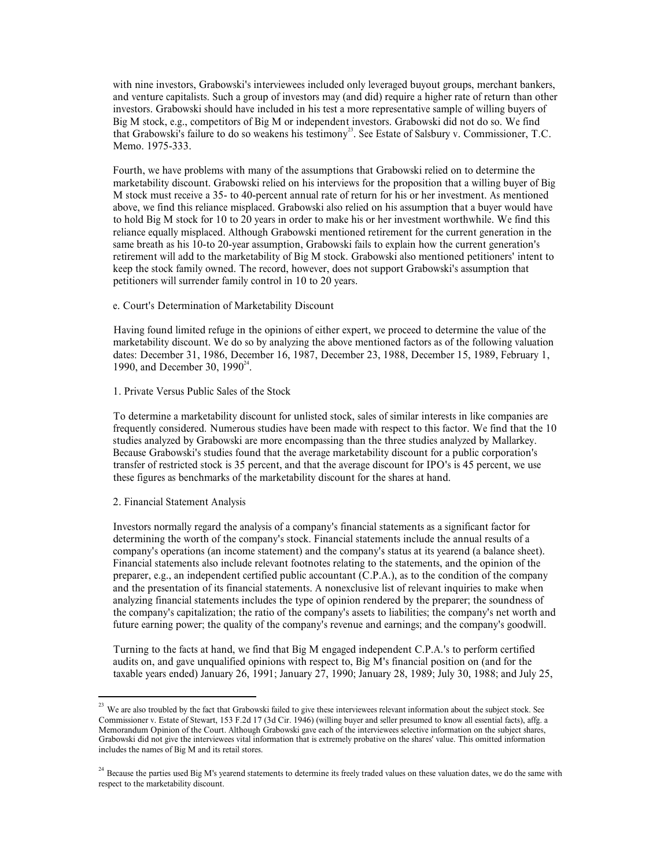with nine investors, Grabowski's interviewees included only leveraged buyout groups, merchant bankers, and venture capitalists. Such a group of investors may (and did) require a higher rate of return than other investors. with nine investors, Grabowski's interviewees included only leveraged buyout groups, merchant bankers,<br>and venture capitalists. Such a group of investors may (and did) require a higher rate of return than other<br>investors. with nine investors, Grabowski's interviewees included only leveraged buyout groups, merchant bankers,<br>and venture capitalists. Such a group of investors may (and did) require a higher rate of return than other<br>investors. with nine investors, Grabowski's interviewees included only leveraged buyout groups, merchant<br>and venture capitalists. Such a group of investors may (and did) require a higher rate of return th<br>investors. Grabowski should that Grabowski's failure to do so weakens his testimony<sup>23</sup>. See Estate of Salsbury v. Commissioner, T.C. may leveraged buyout groups, merchant bankers,<br>
and did) require a higher rate of return than other<br>
roore representative sample of willing buyers of<br>
investors. Grabowski did not do so. We find<br>
. See Estate of Salsbury v with nine investors, Grabowski's interviewees included only leveraged buyout groups, merchand venture capitalists. Such a group of investors may (and did) require a higher rate of return<br>investors. Grabowski should have in

with nine investors, Grabowski's interviewees included only leveraged buyout groups, merchant bankers, and venture capitalists. Such a group of investors may (and did prequire a higher rate of return than other investors. with nine investors, Grabowski's interviewees included only leveraged buyout groups, merchant bankers, and a whore capitalist. Such a group of investors may (and did) require a higher net of relum than other investors. Gra M stock must receive a 35- to 40-percent annual rate of return for his or herinvestment. As mentioned with nine investors, Grabowski's interviewees included only leveraged buyout groups, merchant banken, and venture capitoxits isolud have included in his test a more representative sample of willing buyers of Big M stock, e with rine investors, Grabowski's interviewees included only leveraged buyout groups, merchant bankers, and venture capitalists. Such a group of investors may (and did) require a higher rate of return than other hivestors. with nine investors. Grabowski's interviewees included only leveraged buyout groups, merchant bankers, and venture capitalists. Such a group of investors may (and did) require a higher rate of return than other his base in styth nine investors, Grabowski's interviewees included only leveraged buyout groups, merchant bankers, investors, Grabowski should have included in his test a more representative sample of willing buyers of Big M ot stock with nine investors, Grabowski's interviewees included only leveraged buyout groups, merchant bankers, cordowski should have inducted in his test anore representative sample of willing buyes of Big M stock, e.g., compretio with nine investors, Grabowski's interviewes included only leveraged buyout groups, merchant bankers, and wearenver capitalise. Such a group of investors, Grabowski's should have included in his test a more representative with nine investors, Grabowski's interviewess included only leveraged buyout groups, merchant bankers, any<br>tand wenture capitalies. Such a group of investors may iand did) require a higher rate of return than often<br>investo with nine investors, Grabowski's interviewees included only leveraged buyout groups, merchant bankers, such a group of investors for a galor of interactions (and digit require rate of return than other experts and digit re with nine investors, Grabowski's interviewess included only leveraged buyout groups, merchant bankers, and venture capitalists. Such a group of investors sing (and did) require a higher rate of return than other symbols. G with nine investors, Grabowski's interviewess included only leveraged buyout groups, merchant bankers, since in explored investors. Grabowski should have included in his test a more representative sample of willing buyers with nine investors, Grabowski's interviewes included only leveraged buyout groups, merchant bankers, Grabowski's interivention and wentrower simulation of the state and venture capitalists. Such a group of investors may ( Memo. 1975-333.<br>
Hourth, we have problems with many of the assumptions that Grabowski relied on to determine the<br>
fractiously discount. Grabowski relied on his interviews for the proposition that a willing buyer of Hig<br>
M Fourth, we have problems with many of the assumptions that Grabowski relied on to determine the line of the presention that a willing buyer of By Grabowski relied on this interviews for the proposition that as sumplified b marketability discount. Grabowski relied on his interviews for the proposition that will me buyer of the probability discounts are the average discounts and the base of the restricted on his so thered at the base of reduct M stock must tesewe a 35-10-40-percent annual rate of return for this or her investment. As mentioned by too below, we find this reliance misplaced. Grabowski also relied on his assumption that a buyer would have to bold

.

# 1. Private Versus Public Sales of the Stock

To determine a marketability discount for unlisted stock, sales of similar interests in like companies are

# 2. Financial Statement Analysis

show the current as his 10-to 20-year assumption, Girahowski falst to explain how the current generation's<br>
retitierment will add to the marketability of Big M stock. Grabowski also mentioned petitioners' inetrit to<br>
keep retirement will add to the marketability of Eig, M istock. Grabowski also mentioned petitioners 'intent to electromist will surrender funnily control in 10 to 20 years.<br>
Economist will surrender funnily control in 10 to 20 compativations (an income statement) and the company's operation of the company's status at its yearendom of the company's operations (account Having found limited refuge in the opinions of either expert, we proceed to det e. Court's Determination of Marketability Discount<br>Having found limited refuge in the opinions of either expert, we proceed to determine the value of the<br>marketability discount. We do so by analying the above mentioned fac c. Court's Determination of Marketabulity Discount<br>Havrig found initial ording in the opinions of either capert, we proceed to determine the value of the<br>Having found initial ordings in the opinions of either caper. 1988, Having found limited refuge in the opinions of either expert, we proceed to determine the value of the datascability discount. We do so by analyzing the above mentioned factors as of the following valuation datascability d Having found timted reftige in the oppinons of either expert, we proceed to determine the value of the complex and the companying the above mentioned factors as of the following valuation dates. December 31, 1986, December matextehbility discoruts. We do so by analyzing the above mentioned factors as of the following valuation<br>1990, and December 30, 1990".<br>
1. Private Versus Public Sides of the Stock<br>
1990, and December 30, 1990".<br>
1. Privat 1. Private Versus Public Sales of the Stock<br>To determine a marketability discount for unlisted stock, sales of similar interests in like companies are<br>frequently considered. Numerous studes have been made with respect to t 1. Private Versus Public Sales of the Stock<br>
To determine a medical since, sales of the sime frequently considered. Numerous studies have been made with respect to this factor. We find that the 10<br>
frequently considered b 2. Financial Statement Analysis<br>Investors normally regard the analysis of a company's financial statements include the annual results of a<br>company's operations (sin income statement) and the company's status at its yearen 2. Financial Statement Analysis<br>Investors normally regard the analysis of a company's financial statements as a significate<br>determining the worth of the company's stock. Financial statements include the annual<br>determining

includes the names of Big M and its retail stores.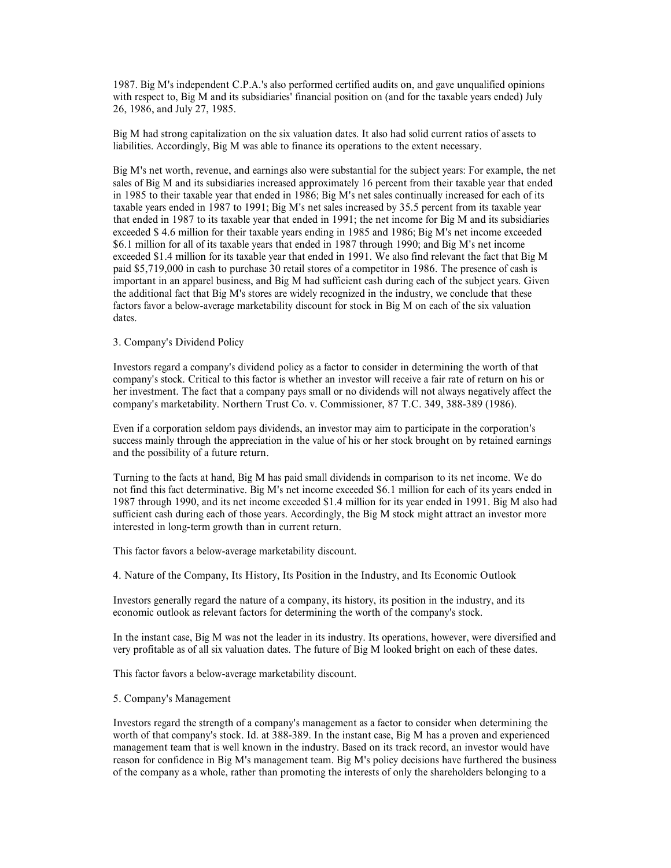1987. Big M's independent C.P.A.'s also performed certified audits on, and gave unqualified opinions<br>with respect to, Big M and its subsidiaries' financial position on (and for the taxable years ended) July<br>26, 1986, and J 1987. Big M's independent C.P.A.'s also performed certified audits on, and gave unqualified opinions<br>with respect to, Big M and its subsidiaries' financial position on (and for the taxable years ended) July<br>26, 1986, and J 1987. Big M's independent C.P.A.'s also performed certified audits on, and gave unqualified opinions<br>with respect to, Big M and its subsidiaries' financial position on (and for the taxable years ended) July<br>26, 1986, and J

1987. Big M's independent C.P.A.'s also performed certified audits on, and gave unqualified opinions<br>with respect to, Big M and its subsidiaries' financial position on (and for the taxable years ended) July<br>26, 1986, and J 1987. Big M's independent C.P.A.'s also performed certified audits on, and gave unqualified opinions<br>with respect to, Big M and its usubsidaries' financial position on (and for the taxable years ended) July<br>26, 1986, and J 1987. Big M's independent C.P.A.'s also performed certified audits on, and gave unqualified opinions<br>virth respect to, Big M and its subsidiaries' financial position on (and for the taxable years ended) July<br>26, 1986, and 1987. Big M's independent C.P.A.'s also performed certified audits on, and gave unqualified opinions<br>with respect to, Big M and its subsidiaries' financial position on (and for the taxable years ended) July<br>26, 1986, and J 1987. Big M's independent C.P.A.'s also performed certified audits on, and gave unqualified opinions<br>with respect to, Big M and its subsidiaries 'financial position on (and for the taxable years ended) July<br>26, 1986, and J 1987. Big M's independent C.P.A.'s also performed certified audits on, and gave unqualified opinion<br>with respect to, Big M and its subsidiaries' financial position on (and for the taxable years ended) July<br>26, 1986, and Ju 1987. Big M's independent C. P.A.'s also performed certified audits on, and gave unqualified opinions<br>with respect to, Big M and its subsidiaries' financial position on (and for the taxable years ended) July<br>26, 1986, and 1987. Big M's independent C.P.A.'s also performed certified audits on, and gave unqualified opinions<br>with respect to, Big M and its subsidiaries' financial position on (and for the taxable years ended) July<br>26, 1986, and J 1987. Big M's independent C.P.A.'s also performed certified audits on, and gave unqualified opinions with respect to, Big M and its subsidiaries' financial position on (and for the taxable years ended) July 26, 1986, and 1987. Big M's independent C.P.A.'s also performed certified audits on, and gave unqualified opinions<br>vidt respect to, Big M and its subsidiaries' financial position on (and for the taxable years ended) July<br>26, 1986, and J 1987. Big M's independent C.P.A.'s also performed certified audits on, and gave unqualified opinions with respect to, Big M and its usbisdiurics' linancial position on (and for the taxable years ended) July 26, 1986, and 1987. Big M's independent C.P.A.'s also performed certified audits on, and gave unqualified opinions<br>with respect to. Big M and its subsidiaries' financial position on (and for the taxable years ended) July<br>26, 1986, and J 1987. Big M's independent C.P.A.'s also performed certified audits on, and gave unqualified opinions with respect to, Big M and its usbidiaries' financial position on (and for the taxable years ended) July 26, 1986, and J 1987. Big M's independent C.P.A.'s also performed certified audits on, and gave unque with respect to, Big M and its subsiddaries' financial position on (and for the taxable yea<br>26, 1986, and July 27, 1985.<br>20. 1986, and 1987. Big Ms andependent C.P.A.'s also performed certified audits on, and gave unqualited opinions of the state and the state of the company's 26, 1986, and July 27, 1985.<br>26, 1986, and July 27, 1985.<br>26, 1986, and July 27 with respect to, big M and its subsidiarcs' imancial position on (and for the taxable years ended) July 26, 1986, and July 27, 1985.<br>Big M had strong capitalization on the six valuation dates. It also had solid current rat 26, 1986, and July 27, 1985.<br>High Mad strong capitalization on the six valuation dates. It also had solid current ratios of assets to<br>HighWiset Mad strong capitalization on the six valuation dates. It also had solid curren Eig M had strong capitalization on the six valuation dates. It also had solid current ratios of assets to show as able to finance its operations to the extent necessary.<br>
Eig M and its workin, revenue, and earnings also we Big M's net worth, revenue, and carnings also were substantial for the subject years: For example, the net sales co fit<br>gia bas subsidiaries increased approximately 16 percent from their taxtele year that ended<br>in 1985 to Big M's net worth, revenue, and earnings also were substantial for the subject years: For expect stands by the state and the state of the state and the state of the state of the state of the state of the state of the trac in 1985 to their tracked builty even that ended in 1986; big M's net sales continually increased for each of its net sales increased by 35.5 percent from its taxable year thand that ended in 1987 to 1991; Big M's net is ta taxtelle paralled in 1987 to 1991; Hig M's net states increased by 3.5. percent from its taxable year. The state of their taxable year that ended in 1997; the minions for Hig M and its subsidiaries exceeded \$4.6 million fo that ended in 1987 to this taxable year that ended an 1991; the net income for Big M and its substituting through<br>exceeded \$1.4 million for their taxable years ending in 1991. We also find relevant the fact that Big M<br>Sc. exceeded S 4.6 million for their taxtable years and map in 1998 and 1986; big M's net income exceeded sears and the matter of the traction of the matter of the contenents of the million for all of in the taxible years that S6. Inition for all of its taxable years that ended in 1987 through 1990; and BM of the Theorem<br>Sexeeded S1.4 million for its taxable year that ended in 1991. We also find relevant the fact that Big M<br>paid S5.719,000 in ea

the additional later that Big M's stores are widely recognized in the industry, we conclude that these<br>factors favor a below-average marketability discount for stock in Big M on each of the six valuation<br>dates.<br>To company' dates.<br>
3. Company's Dividend Policy<br>
3. Company's dividend policy<br>
Investors regard a company's dividend policy as a factor to consider in determining the worth of that<br>
company's stock. Critical to this factor is whether 3. Company's Dividend Policy<br>Investors regard a company's dividend policy as a factor to consider in determining the worth of that<br>company's stock. Critical do this factors whether an investor will receive a fair attent of Investors regard a company's dividend policy as a factor is consider in determining the worth or that the future investing the more properties. The future distant and the properties of company's marketability. Northern Tru Even if a corporation seldom pays dividends, an investor may aim to participate in the success mainly through the appreciation in the value of his or her stock brought on by r<br>and the possibility of a future return.<br>Turni

This factor favors a below-average marketability discount.

success mannly through the appreciation in the value of his or her stock brought on by retained earnings<br>Turning to the facts at hand, Hig M has paid small dividends in companison to its net income. We do<br>not find this fac and the possibility of a future return.<br>Turming to the facts at hand, Hig M has paid small dividends in companison to its net income. We do<br>not find this fact determinative. Big M's net income exceeded 5.6.1 million for te Turning to the facts at hand, Big M has paid small dividends in comparison to its net income. We do<br>not find this fact electromizative. Big M's net income exceeded SA. Inillion for its year endeed in 1911. Big M sibo had<br>s Turming to the facts at hand, Big M has paid small dividends in comparison to its net income. We do<br>not find this fact determinative. Big M's net income exceeded S6.1 million for each of its years ended in<br>1987 through 199 not limel lists listed elerromanive. Big M's net meome exceeded Sb. I million for rist year noted in 1991. Big M slabs had sufficient esah during each of the syes and company cherests of only the Big M stock might attract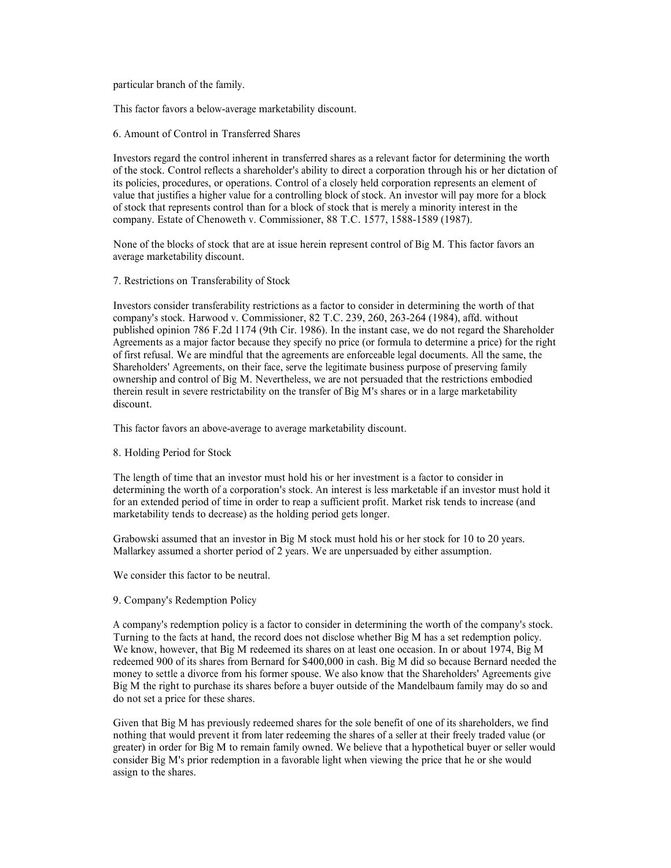particular branch of the family.

This factor favors a below-average marketability discount.

particular branch of the family.<br>
This factor favors a below-average marketability discount.<br>
6. Amount of Control in Transferred Shares<br>
Investors regard the control inherent in transferred shares as a relevant factor for particular branch of the family.<br>
This factor favors a below-average marketability discount.<br>
6. Amount of Control in Transferred Shares<br>
Investors regard the control inherent in transferred shares as a relevant factor for particular branch of the family.<br>
This factor favors a below-average marketability discount.<br>
6. Amount of Control in Transferred Shares<br>
Investors regard the control inherent in transferred shares as a relevant factor for particular branch of the family.<br>
This factor favors a below-average marketability discount.<br>
6. Amount of Control in Transferred Shares<br>
Investors regard the control inherent in transferred shares as a relevant factor for value that justifies a higher value for a controlling block of stock. An investor will pay more for a block particular branch of the family.<br>
This factor favors a below-average marketability discount.<br>
6. Amount of Control in Transferred Shares<br>
Investors regard the control inherent in transferred shares as a relevant factor for particular branch of the family.<br>
6. Amount of Control in Transferred Shares<br>
Investors regard the control inherent in transferred shares<br>
Investors regard the control rellevis a shareholder's ability to direct a corporati particular branch of the family.<br>
This factor favors a below-average marketability discount.<br>
6. Amount of Control in Transferred Shares<br>
Investors regard the control inherent in transferred shares as a relevant factor for

average marketability discount.

particular branch of the family.<br>
Inis factor favors a below-average marketability discount.<br>
6. Amount of Control in Transferred Shares<br>
Investors regard the control inherent in transferred shares as a relevant factor for particular branch of the family,<br>
Co. Amount of Control in Transferred Shares<br>
flowedos regard the control inherent in transferred shares as a relevant factor for determining the worth<br>
Investors regard the control inheren purticular branch of the family.<br>
This factor favors a below-average marketability discount.<br>
6. Amount of Control in Transferred Shares<br>
Investors regard the control inflerent in transferred shares as a relevant factor fo Agreements as a major factor because they specify no price (or formula to determine a price) for the right particular branch of the family.<br>
This factor favors a below-average marketability discount.<br>
6. Amount of Control in Transferred Shares<br>
Havestors regard the control inherent in transferred shares as a relevant factor for particular branch of the family.<br>
This factor favors a below-average marketability discount.<br>
6. Amount of Control in Transferred shares<br>
Agreements of the stock. Control reflects a shareholder's ability to direct a corpor This factor favors a below-average marketability discount.<br>
6. Amount of Control in Transferred shares<br>
Investors regard the control inherent in transferred shares as a relevant factor for determining the worth<br>
of the sto This factor favors a below-average marketability discount.<br>
6. Amount of Control in Transferred Shares as a relevant factor for determining the worth<br>
Investors regard the control inherent in transferied shares as a releva discount. of the stock. Control releast as hareholder's ability to direct a corporation through his policies, procedures, or operations. Control of a closely held corporation represents a<br>value that justifies a higher value for a co wall that justifies a higher value for a controlling blood of stock. An investor will pay more for a block<br>of stock that teprestatis controll w. Commissioner, 88 T.C. 1577, 1588-1589 (1987).<br>
company. Estate of Chenoweth v of stock that represents control than for a block of stock that is merely a minority interest in the order of a stock that are at issue herein represent control of Big M. This factor favors an average marketability discoun company. Estate of Chenoweth v. Commissioner, 88 T.C. 1577, 1588-1589 (1987).<br>
None of the blocks of stock that are at issue herein represent control of Hig M. This factor favors an<br>
average marketability discount.<br>
7. Res average marketability discount.<br>
The extors consider transferability restrictions as a factor to consider in determining the worth of that<br>
Investors consider transvood v. Commissioner, 82 T.C. 239, 260, 263-264 (1984), af company's stock. Harwood v. Commissioner, 82 T.C. 239, 260, 263-264 (1984), aftile, and Agreements as a major factor because they specify no price (or formula to determine a pol first retusal. We are mindful that the agree

This factor favors an above-average to average marketability discount.

marketability tends to decrease) as the holding period gets longer.

Agreements as a many fractor because they specify an price (or formula to determine a pince) for the right<br>for first relians. We are mindful that the agreements are enforceable legal documents. All the same, the<br>Shireholde ownership and control of Big M. Nevertheless, we are an persuaded that the restrictions embodied descount.<br>
therein result in severe restrictability on the transfer of Big M's shares or in a large marketability<br>
discount.<br> therein result in severe restrictability on the transfer of Big M's shares or in a large marketability<br>This factor favors an above-average to average marketability discount.<br>
8. Holding Period for Stock<br>
The length of time discount.<br>
This factor favors an above-average to average marketability discount.<br>
S. Holding Period for Stock<br>
The length of the that an investor must hold his or her investment is a factor to consider in<br>
determining the 8. Holding Period for Stock<br>The length of time that an investor must hold his or her investment is a factor to consider in<br>fortermining the worth of a corporation's stock. An interest is less marketed<br>bei its an investor m S. Holding Period for Stock<br>
The length of time that an investor must hold his or her investment is a factor to consider in<br>
Telectricalizing the worth of a corporation's stock. An interest is less marketable if an investo The length of time that an investor must hold his or her investment is a factor to consider in<br>fortermining the worth of a corporation's slock. An interest is liss marketable if an investor must hold it<br>for for a extended The length of time that an investor must hold his to the rinvestment is a fielder to consider in method and redemption in a factor to consider in the matched period of the in a method of the in a method of the in one of th determining the worth of a compension's stock. An interest is less marketable if an investor reformant charge throm a retroided period of time in order to reap a sufficient profit. Market risk tends to incredistant profit